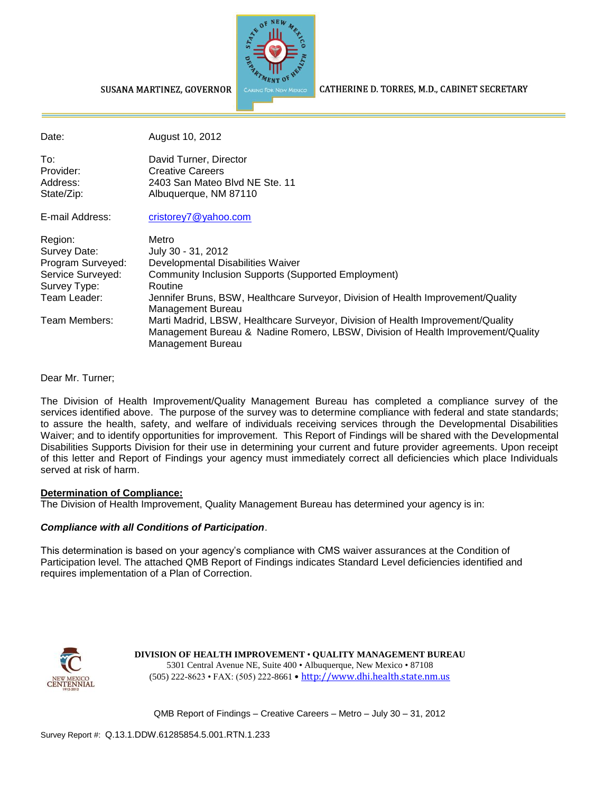

CATHERINE D. TORRES, M.D., CABINET SECRETARY

#### SUSANA MARTINEZ, GOVERNOR

| Date:             | August 10, 2012                                                                                                                                                                         |
|-------------------|-----------------------------------------------------------------------------------------------------------------------------------------------------------------------------------------|
| To:               | David Turner, Director                                                                                                                                                                  |
| Provider:         | <b>Creative Careers</b>                                                                                                                                                                 |
| Address:          | 2403 San Mateo Blvd NE Ste. 11                                                                                                                                                          |
| State/Zip:        | Albuquerque, NM 87110                                                                                                                                                                   |
| E-mail Address:   | cristorey7@yahoo.com                                                                                                                                                                    |
| Region:           | Metro                                                                                                                                                                                   |
| Survey Date:      | July 30 - 31, 2012                                                                                                                                                                      |
| Program Surveyed: | Developmental Disabilities Waiver                                                                                                                                                       |
| Service Surveyed: | Community Inclusion Supports (Supported Employment)                                                                                                                                     |
| Survey Type:      | Routine                                                                                                                                                                                 |
| Team Leader:      | Jennifer Bruns, BSW, Healthcare Surveyor, Division of Health Improvement/Quality<br>Management Bureau                                                                                   |
| Team Members:     |                                                                                                                                                                                         |
|                   | Marti Madrid, LBSW, Healthcare Surveyor, Division of Health Improvement/Quality<br>Management Bureau & Nadine Romero, LBSW, Division of Health Improvement/Quality<br>Management Bureau |

#### Dear Mr. Turner;

The Division of Health Improvement/Quality Management Bureau has completed a compliance survey of the services identified above. The purpose of the survey was to determine compliance with federal and state standards; to assure the health, safety, and welfare of individuals receiving services through the Developmental Disabilities Waiver; and to identify opportunities for improvement. This Report of Findings will be shared with the Developmental Disabilities Supports Division for their use in determining your current and future provider agreements. Upon receipt of this letter and Report of Findings your agency must immediately correct all deficiencies which place Individuals served at risk of harm.

#### **Determination of Compliance:**

The Division of Health Improvement, Quality Management Bureau has determined your agency is in:

#### *Compliance with all Conditions of Participation*.

This determination is based on your agency's compliance with CMS waiver assurances at the Condition of Participation level. The attached QMB Report of Findings indicates Standard Level deficiencies identified and requires implementation of a Plan of Correction.



**DIVISION OF HEALTH IMPROVEMENT** • **QUALITY MANAGEMENT BUREAU** 5301 Central Avenue NE, Suite 400 • Albuquerque, New Mexico • 87108 (505) 222-8623 • FAX: (505) 222-8661 • http://www.dhi.health.state.nm.us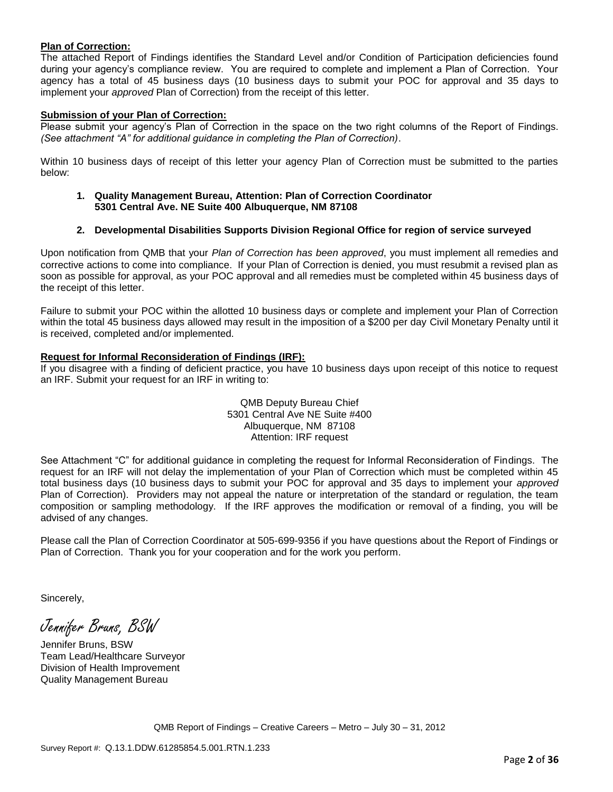#### **Plan of Correction:**

The attached Report of Findings identifies the Standard Level and/or Condition of Participation deficiencies found during your agency's compliance review. You are required to complete and implement a Plan of Correction. Your agency has a total of 45 business days (10 business days to submit your POC for approval and 35 days to implement your *approved* Plan of Correction) from the receipt of this letter.

#### **Submission of your Plan of Correction:**

Please submit your agency's Plan of Correction in the space on the two right columns of the Report of Findings. *(See attachment "A" for additional guidance in completing the Plan of Correction)*.

Within 10 business days of receipt of this letter your agency Plan of Correction must be submitted to the parties below:

**1. Quality Management Bureau, Attention: Plan of Correction Coordinator 5301 Central Ave. NE Suite 400 Albuquerque, NM 87108**

#### **2. Developmental Disabilities Supports Division Regional Office for region of service surveyed**

Upon notification from QMB that your *Plan of Correction has been approved*, you must implement all remedies and corrective actions to come into compliance. If your Plan of Correction is denied, you must resubmit a revised plan as soon as possible for approval, as your POC approval and all remedies must be completed within 45 business days of the receipt of this letter.

Failure to submit your POC within the allotted 10 business days or complete and implement your Plan of Correction within the total 45 business days allowed may result in the imposition of a \$200 per day Civil Monetary Penalty until it is received, completed and/or implemented.

#### **Request for Informal Reconsideration of Findings (IRF):**

If you disagree with a finding of deficient practice, you have 10 business days upon receipt of this notice to request an IRF. Submit your request for an IRF in writing to:

> QMB Deputy Bureau Chief 5301 Central Ave NE Suite #400 Albuquerque, NM 87108 Attention: IRF request

See Attachment "C" for additional guidance in completing the request for Informal Reconsideration of Findings. The request for an IRF will not delay the implementation of your Plan of Correction which must be completed within 45 total business days (10 business days to submit your POC for approval and 35 days to implement your *approved* Plan of Correction). Providers may not appeal the nature or interpretation of the standard or regulation, the team composition or sampling methodology. If the IRF approves the modification or removal of a finding, you will be advised of any changes.

Please call the Plan of Correction Coordinator at 505-699-9356 if you have questions about the Report of Findings or Plan of Correction. Thank you for your cooperation and for the work you perform.

Sincerely,

Jennifer Bruns, BSW

Jennifer Bruns, BSW Team Lead/Healthcare Surveyor Division of Health Improvement Quality Management Bureau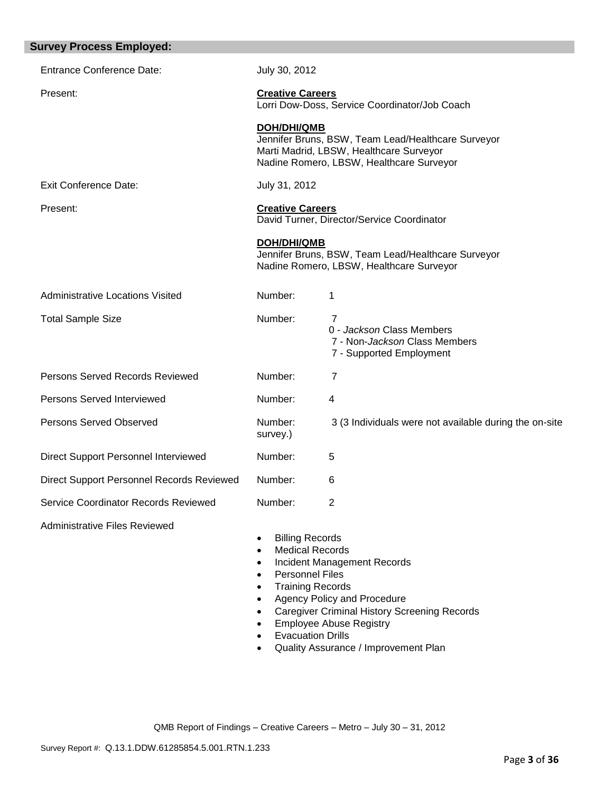| <b>Survey Process Employed:</b>                  |                                                                                                                                                                                                                              |                                                                                                                                                                                                    |
|--------------------------------------------------|------------------------------------------------------------------------------------------------------------------------------------------------------------------------------------------------------------------------------|----------------------------------------------------------------------------------------------------------------------------------------------------------------------------------------------------|
| <b>Entrance Conference Date:</b>                 | July 30, 2012                                                                                                                                                                                                                |                                                                                                                                                                                                    |
| Present:                                         | <b>Creative Careers</b>                                                                                                                                                                                                      | Lorri Dow-Doss, Service Coordinator/Job Coach                                                                                                                                                      |
|                                                  | <b>DOH/DHI/QMB</b>                                                                                                                                                                                                           | Jennifer Bruns, BSW, Team Lead/Healthcare Surveyor<br>Marti Madrid, LBSW, Healthcare Surveyor<br>Nadine Romero, LBSW, Healthcare Surveyor                                                          |
| <b>Exit Conference Date:</b>                     | July 31, 2012                                                                                                                                                                                                                |                                                                                                                                                                                                    |
| Present:                                         | <b>Creative Careers</b>                                                                                                                                                                                                      | David Turner, Director/Service Coordinator                                                                                                                                                         |
|                                                  | <b>DOH/DHI/QMB</b>                                                                                                                                                                                                           | Jennifer Bruns, BSW, Team Lead/Healthcare Surveyor<br>Nadine Romero, LBSW, Healthcare Surveyor                                                                                                     |
| <b>Administrative Locations Visited</b>          | Number:                                                                                                                                                                                                                      | 1                                                                                                                                                                                                  |
| <b>Total Sample Size</b>                         | Number:                                                                                                                                                                                                                      | $\overline{7}$<br>0 - Jackson Class Members<br>7 - Non-Jackson Class Members<br>7 - Supported Employment                                                                                           |
| <b>Persons Served Records Reviewed</b>           | Number:                                                                                                                                                                                                                      | 7                                                                                                                                                                                                  |
| Persons Served Interviewed                       | Number:                                                                                                                                                                                                                      | 4                                                                                                                                                                                                  |
| <b>Persons Served Observed</b>                   | Number:<br>survey.)                                                                                                                                                                                                          | 3 (3 Individuals were not available during the on-site                                                                                                                                             |
| Direct Support Personnel Interviewed             | Number:                                                                                                                                                                                                                      | 5                                                                                                                                                                                                  |
| <b>Direct Support Personnel Records Reviewed</b> | Number:                                                                                                                                                                                                                      | 6                                                                                                                                                                                                  |
| Service Coordinator Records Reviewed             | Number:                                                                                                                                                                                                                      | 2                                                                                                                                                                                                  |
| <b>Administrative Files Reviewed</b>             | <b>Billing Records</b><br>$\bullet$<br><b>Medical Records</b><br>$\bullet$<br>$\bullet$<br><b>Personnel Files</b><br>$\bullet$<br><b>Training Records</b><br>$\bullet$<br>$\bullet$<br>$\bullet$<br><b>Evacuation Drills</b> | <b>Incident Management Records</b><br>Agency Policy and Procedure<br><b>Caregiver Criminal History Screening Records</b><br><b>Employee Abuse Registry</b><br>Quality Assurance / Improvement Plan |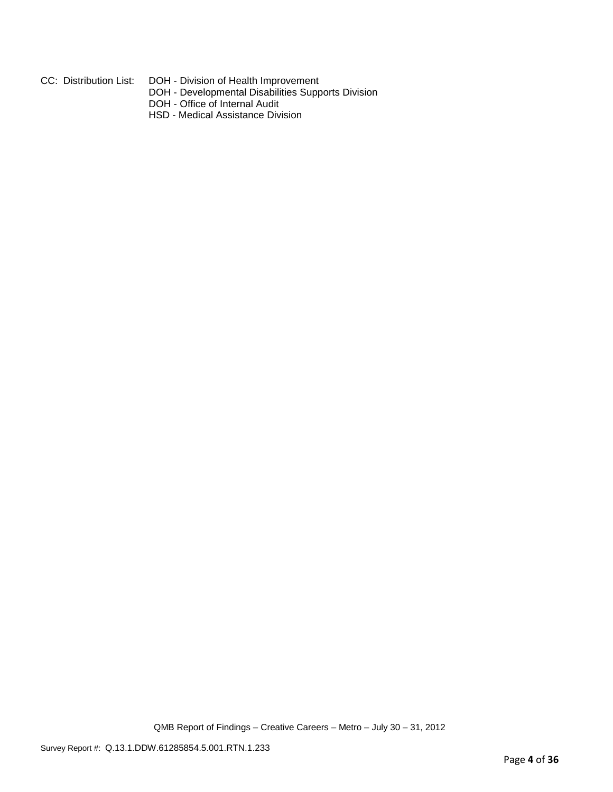- 
- CC: Distribution List: DOH Division of Health Improvement
	- DOH Developmental Disabilities Supports Division
	- DOH Office of Internal Audit
	- HSD Medical Assistance Division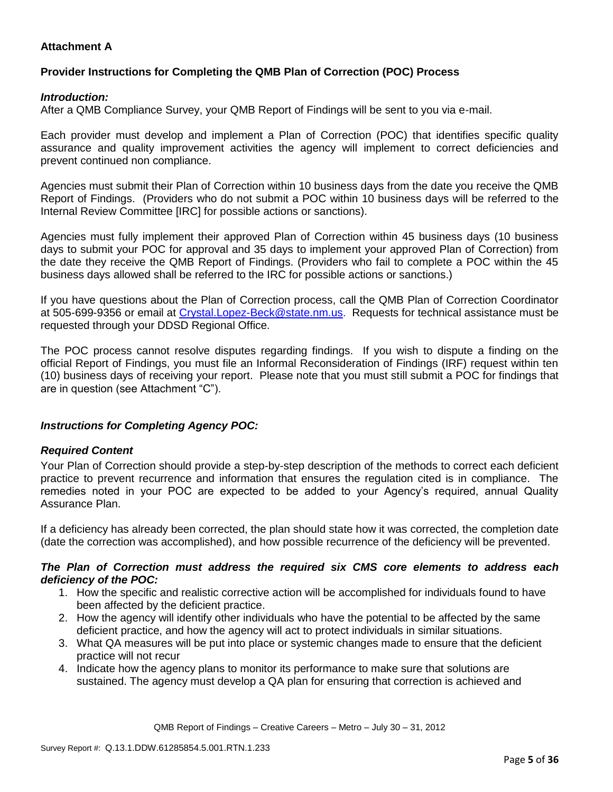## **Attachment A**

## **Provider Instructions for Completing the QMB Plan of Correction (POC) Process**

### *Introduction:*

After a QMB Compliance Survey, your QMB Report of Findings will be sent to you via e-mail.

Each provider must develop and implement a Plan of Correction (POC) that identifies specific quality assurance and quality improvement activities the agency will implement to correct deficiencies and prevent continued non compliance.

Agencies must submit their Plan of Correction within 10 business days from the date you receive the QMB Report of Findings. (Providers who do not submit a POC within 10 business days will be referred to the Internal Review Committee [IRC] for possible actions or sanctions).

Agencies must fully implement their approved Plan of Correction within 45 business days (10 business days to submit your POC for approval and 35 days to implement your approved Plan of Correction) from the date they receive the QMB Report of Findings. (Providers who fail to complete a POC within the 45 business days allowed shall be referred to the IRC for possible actions or sanctions.)

If you have questions about the Plan of Correction process, call the QMB Plan of Correction Coordinator at 505-699-9356 or email at Crystal.Lopez-Beck@state.nm.us. Requests for technical assistance must be requested through your DDSD Regional Office.

The POC process cannot resolve disputes regarding findings. If you wish to dispute a finding on the official Report of Findings, you must file an Informal Reconsideration of Findings (IRF) request within ten (10) business days of receiving your report. Please note that you must still submit a POC for findings that are in question (see Attachment "C").

## *Instructions for Completing Agency POC:*

## *Required Content*

Your Plan of Correction should provide a step-by-step description of the methods to correct each deficient practice to prevent recurrence and information that ensures the regulation cited is in compliance. The remedies noted in your POC are expected to be added to your Agency's required, annual Quality Assurance Plan.

If a deficiency has already been corrected, the plan should state how it was corrected, the completion date (date the correction was accomplished), and how possible recurrence of the deficiency will be prevented.

### *The Plan of Correction must address the required six CMS core elements to address each deficiency of the POC:*

- 1. How the specific and realistic corrective action will be accomplished for individuals found to have been affected by the deficient practice.
- 2. How the agency will identify other individuals who have the potential to be affected by the same deficient practice, and how the agency will act to protect individuals in similar situations.
- 3. What QA measures will be put into place or systemic changes made to ensure that the deficient practice will not recur
- 4. Indicate how the agency plans to monitor its performance to make sure that solutions are sustained. The agency must develop a QA plan for ensuring that correction is achieved and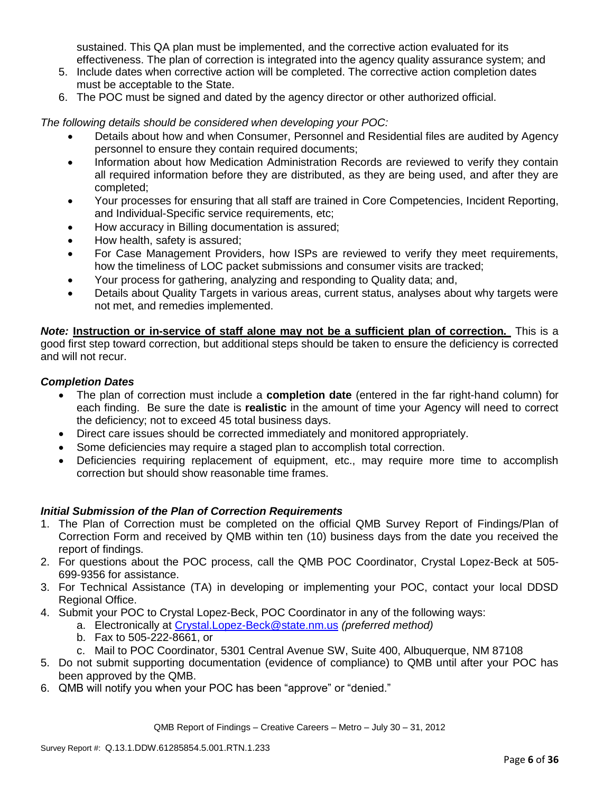sustained. This QA plan must be implemented, and the corrective action evaluated for its effectiveness. The plan of correction is integrated into the agency quality assurance system; and

- 5. Include dates when corrective action will be completed. The corrective action completion dates must be acceptable to the State.
- 6. The POC must be signed and dated by the agency director or other authorized official.

*The following details should be considered when developing your POC:*

- Details about how and when Consumer, Personnel and Residential files are audited by Agency personnel to ensure they contain required documents;
- Information about how Medication Administration Records are reviewed to verify they contain all required information before they are distributed, as they are being used, and after they are completed;
- Your processes for ensuring that all staff are trained in Core Competencies, Incident Reporting, and Individual-Specific service requirements, etc;
- How accuracy in Billing documentation is assured;
- How health, safety is assured;
- For Case Management Providers, how ISPs are reviewed to verify they meet requirements, how the timeliness of LOC packet submissions and consumer visits are tracked;
- Your process for gathering, analyzing and responding to Quality data; and,
- Details about Quality Targets in various areas, current status, analyses about why targets were not met, and remedies implemented.

*Note:* **Instruction or in-service of staff alone may not be a sufficient plan of correction.** This is a good first step toward correction, but additional steps should be taken to ensure the deficiency is corrected and will not recur.

### *Completion Dates*

- The plan of correction must include a **completion date** (entered in the far right-hand column) for each finding. Be sure the date is **realistic** in the amount of time your Agency will need to correct the deficiency; not to exceed 45 total business days.
- Direct care issues should be corrected immediately and monitored appropriately.
- Some deficiencies may require a staged plan to accomplish total correction.
- Deficiencies requiring replacement of equipment, etc., may require more time to accomplish correction but should show reasonable time frames.

## *Initial Submission of the Plan of Correction Requirements*

- 1. The Plan of Correction must be completed on the official QMB Survey Report of Findings/Plan of Correction Form and received by QMB within ten (10) business days from the date you received the report of findings.
- 2. For questions about the POC process, call the QMB POC Coordinator, Crystal Lopez-Beck at 505- 699-9356 for assistance.
- 3. For Technical Assistance (TA) in developing or implementing your POC, contact your local DDSD Regional Office.
- 4. Submit your POC to Crystal Lopez-Beck, POC Coordinator in any of the following ways:
	- a. Electronically at Crystal.Lopez-Beck@state.nm.us *(preferred method)*
	- b. Fax to 505-222-8661, or
	- c. Mail to POC Coordinator, 5301 Central Avenue SW, Suite 400, Albuquerque, NM 87108
- 5. Do not submit supporting documentation (evidence of compliance) to QMB until after your POC has been approved by the QMB.
- 6. QMB will notify you when your POC has been "approve" or "denied."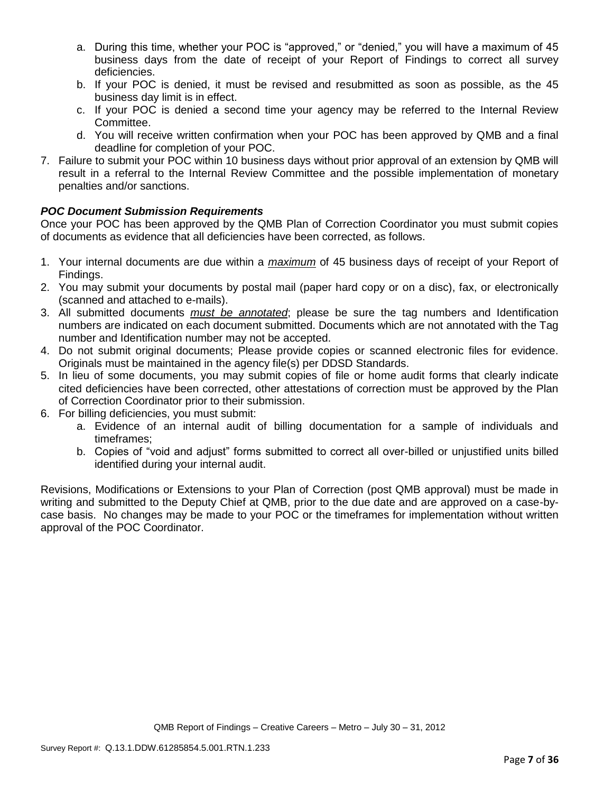- a. During this time, whether your POC is "approved," or "denied," you will have a maximum of 45 business days from the date of receipt of your Report of Findings to correct all survey deficiencies.
- b. If your POC is denied, it must be revised and resubmitted as soon as possible, as the 45 business day limit is in effect.
- c. If your POC is denied a second time your agency may be referred to the Internal Review Committee.
- d. You will receive written confirmation when your POC has been approved by QMB and a final deadline for completion of your POC.
- 7. Failure to submit your POC within 10 business days without prior approval of an extension by QMB will result in a referral to the Internal Review Committee and the possible implementation of monetary penalties and/or sanctions.

# *POC Document Submission Requirements*

Once your POC has been approved by the QMB Plan of Correction Coordinator you must submit copies of documents as evidence that all deficiencies have been corrected, as follows.

- 1. Your internal documents are due within a *maximum* of 45 business days of receipt of your Report of Findings.
- 2. You may submit your documents by postal mail (paper hard copy or on a disc), fax, or electronically (scanned and attached to e-mails).
- 3. All submitted documents *must be annotated*; please be sure the tag numbers and Identification numbers are indicated on each document submitted. Documents which are not annotated with the Tag number and Identification number may not be accepted.
- 4. Do not submit original documents; Please provide copies or scanned electronic files for evidence. Originals must be maintained in the agency file(s) per DDSD Standards.
- 5. In lieu of some documents, you may submit copies of file or home audit forms that clearly indicate cited deficiencies have been corrected, other attestations of correction must be approved by the Plan of Correction Coordinator prior to their submission.
- 6. For billing deficiencies, you must submit:
	- a. Evidence of an internal audit of billing documentation for a sample of individuals and timeframes;
	- b. Copies of "void and adjust" forms submitted to correct all over-billed or unjustified units billed identified during your internal audit.

Revisions, Modifications or Extensions to your Plan of Correction (post QMB approval) must be made in writing and submitted to the Deputy Chief at QMB, prior to the due date and are approved on a case-bycase basis. No changes may be made to your POC or the timeframes for implementation without written approval of the POC Coordinator.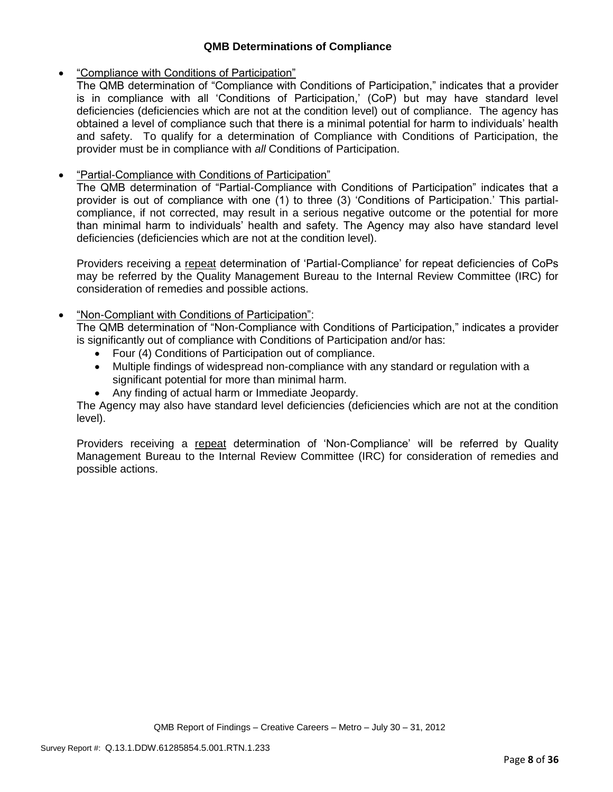## **QMB Determinations of Compliance**

### "Compliance with Conditions of Participation"

The QMB determination of "Compliance with Conditions of Participation," indicates that a provider is in compliance with all 'Conditions of Participation,' (CoP) but may have standard level deficiencies (deficiencies which are not at the condition level) out of compliance. The agency has obtained a level of compliance such that there is a minimal potential for harm to individuals' health and safety. To qualify for a determination of Compliance with Conditions of Participation, the provider must be in compliance with *all* Conditions of Participation.

## "Partial-Compliance with Conditions of Participation"

The QMB determination of "Partial-Compliance with Conditions of Participation" indicates that a provider is out of compliance with one (1) to three (3) 'Conditions of Participation.' This partialcompliance, if not corrected, may result in a serious negative outcome or the potential for more than minimal harm to individuals' health and safety. The Agency may also have standard level deficiencies (deficiencies which are not at the condition level).

Providers receiving a repeat determination of 'Partial-Compliance' for repeat deficiencies of CoPs may be referred by the Quality Management Bureau to the Internal Review Committee (IRC) for consideration of remedies and possible actions.

### "Non-Compliant with Conditions of Participation":

The QMB determination of "Non-Compliance with Conditions of Participation," indicates a provider is significantly out of compliance with Conditions of Participation and/or has:

- Four (4) Conditions of Participation out of compliance.
- Multiple findings of widespread non-compliance with any standard or regulation with a significant potential for more than minimal harm.
- Any finding of actual harm or Immediate Jeopardy.

The Agency may also have standard level deficiencies (deficiencies which are not at the condition level).

Providers receiving a repeat determination of 'Non-Compliance' will be referred by Quality Management Bureau to the Internal Review Committee (IRC) for consideration of remedies and possible actions.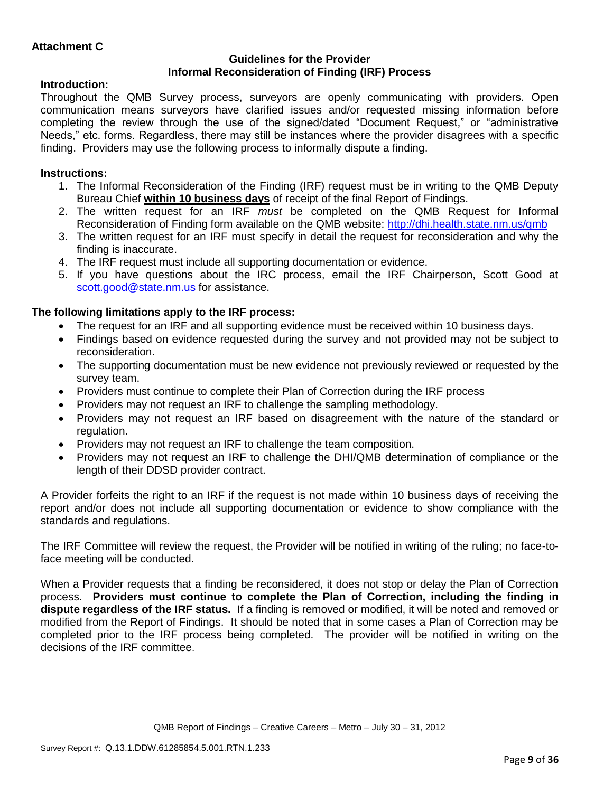### **Guidelines for the Provider Informal Reconsideration of Finding (IRF) Process**

## **Introduction:**

Throughout the QMB Survey process, surveyors are openly communicating with providers. Open communication means surveyors have clarified issues and/or requested missing information before completing the review through the use of the signed/dated "Document Request," or "administrative Needs," etc. forms. Regardless, there may still be instances where the provider disagrees with a specific finding. Providers may use the following process to informally dispute a finding.

# **Instructions:**

- 1. The Informal Reconsideration of the Finding (IRF) request must be in writing to the QMB Deputy Bureau Chief **within 10 business days** of receipt of the final Report of Findings.
- 2. The written request for an IRF *must* be completed on the QMB Request for Informal Reconsideration of Finding form available on the QMB website:<http://dhi.health.state.nm.us/qmb>
- 3. The written request for an IRF must specify in detail the request for reconsideration and why the finding is inaccurate.
- 4. The IRF request must include all supporting documentation or evidence.
- 5. If you have questions about the IRC process, email the IRF Chairperson, Scott Good at [scott.good@state.nm.us](mailto:scott.good@state.nm.us) for assistance.

# **The following limitations apply to the IRF process:**

- The request for an IRF and all supporting evidence must be received within 10 business days.
- Findings based on evidence requested during the survey and not provided may not be subject to reconsideration.
- The supporting documentation must be new evidence not previously reviewed or requested by the survey team.
- Providers must continue to complete their Plan of Correction during the IRF process
- Providers may not request an IRF to challenge the sampling methodology.
- Providers may not request an IRF based on disagreement with the nature of the standard or regulation.
- Providers may not request an IRF to challenge the team composition.
- Providers may not request an IRF to challenge the DHI/QMB determination of compliance or the length of their DDSD provider contract.

A Provider forfeits the right to an IRF if the request is not made within 10 business days of receiving the report and/or does not include all supporting documentation or evidence to show compliance with the standards and regulations.

The IRF Committee will review the request, the Provider will be notified in writing of the ruling; no face-toface meeting will be conducted.

When a Provider requests that a finding be reconsidered, it does not stop or delay the Plan of Correction process. **Providers must continue to complete the Plan of Correction, including the finding in dispute regardless of the IRF status.** If a finding is removed or modified, it will be noted and removed or modified from the Report of Findings. It should be noted that in some cases a Plan of Correction may be completed prior to the IRF process being completed. The provider will be notified in writing on the decisions of the IRF committee.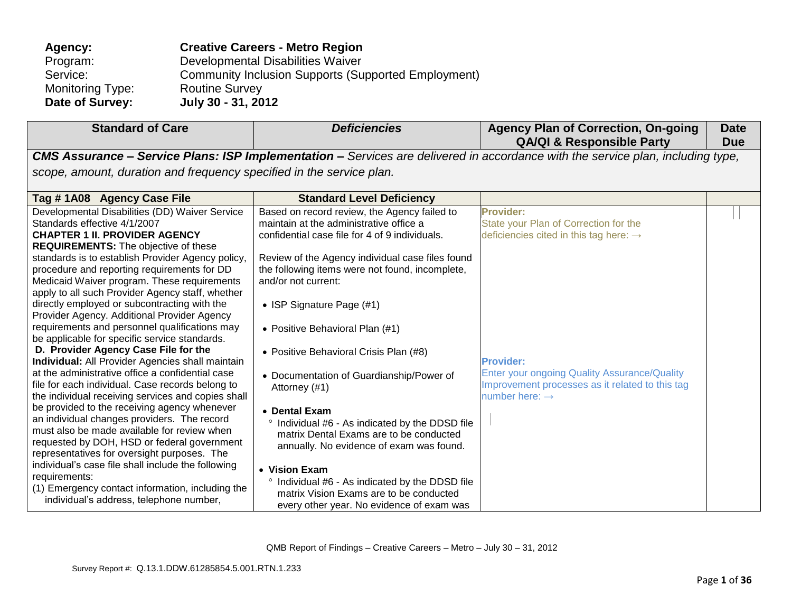| Agency:                 | <b>Creative Careers - Metro Region</b>                     |
|-------------------------|------------------------------------------------------------|
| Program:                | Developmental Disabilities Waiver                          |
| Service:                | <b>Community Inclusion Supports (Supported Employment)</b> |
| <b>Monitoring Type:</b> | <b>Routine Survey</b>                                      |
| Date of Survey:         | July 30 - 31, 2012                                         |

| <b>Standard of Care</b>                                                                                                                                                                                                                                                                                                                                                                                                                                                                                                                                                                                                                                                                                                                                                                                                                                                                                                                                                                                                                                                                                                                                                                                               | <b>Deficiencies</b>                                                                                                                                                                                                                                                                                                                                                                                                                                                                                                                                                                                                                                                                                                      | <b>Agency Plan of Correction, On-going</b><br><b>QA/QI &amp; Responsible Party</b>                                                                                                                                                                                   | <b>Date</b><br><b>Due</b> |  |  |
|-----------------------------------------------------------------------------------------------------------------------------------------------------------------------------------------------------------------------------------------------------------------------------------------------------------------------------------------------------------------------------------------------------------------------------------------------------------------------------------------------------------------------------------------------------------------------------------------------------------------------------------------------------------------------------------------------------------------------------------------------------------------------------------------------------------------------------------------------------------------------------------------------------------------------------------------------------------------------------------------------------------------------------------------------------------------------------------------------------------------------------------------------------------------------------------------------------------------------|--------------------------------------------------------------------------------------------------------------------------------------------------------------------------------------------------------------------------------------------------------------------------------------------------------------------------------------------------------------------------------------------------------------------------------------------------------------------------------------------------------------------------------------------------------------------------------------------------------------------------------------------------------------------------------------------------------------------------|----------------------------------------------------------------------------------------------------------------------------------------------------------------------------------------------------------------------------------------------------------------------|---------------------------|--|--|
|                                                                                                                                                                                                                                                                                                                                                                                                                                                                                                                                                                                                                                                                                                                                                                                                                                                                                                                                                                                                                                                                                                                                                                                                                       |                                                                                                                                                                                                                                                                                                                                                                                                                                                                                                                                                                                                                                                                                                                          | <b>CMS Assurance – Service Plans: ISP Implementation –</b> Services are delivered in accordance with the service plan, including type,                                                                                                                               |                           |  |  |
|                                                                                                                                                                                                                                                                                                                                                                                                                                                                                                                                                                                                                                                                                                                                                                                                                                                                                                                                                                                                                                                                                                                                                                                                                       | scope, amount, duration and frequency specified in the service plan.                                                                                                                                                                                                                                                                                                                                                                                                                                                                                                                                                                                                                                                     |                                                                                                                                                                                                                                                                      |                           |  |  |
| Tag #1A08 Agency Case File                                                                                                                                                                                                                                                                                                                                                                                                                                                                                                                                                                                                                                                                                                                                                                                                                                                                                                                                                                                                                                                                                                                                                                                            | <b>Standard Level Deficiency</b>                                                                                                                                                                                                                                                                                                                                                                                                                                                                                                                                                                                                                                                                                         |                                                                                                                                                                                                                                                                      |                           |  |  |
| Developmental Disabilities (DD) Waiver Service<br>Standards effective 4/1/2007<br><b>CHAPTER 1 II. PROVIDER AGENCY</b><br><b>REQUIREMENTS:</b> The objective of these<br>standards is to establish Provider Agency policy,<br>procedure and reporting requirements for DD<br>Medicaid Waiver program. These requirements<br>apply to all such Provider Agency staff, whether<br>directly employed or subcontracting with the<br>Provider Agency. Additional Provider Agency<br>requirements and personnel qualifications may<br>be applicable for specific service standards.<br>D. Provider Agency Case File for the<br><b>Individual:</b> All Provider Agencies shall maintain<br>at the administrative office a confidential case<br>file for each individual. Case records belong to<br>the individual receiving services and copies shall<br>be provided to the receiving agency whenever<br>an individual changes providers. The record<br>must also be made available for review when<br>requested by DOH, HSD or federal government<br>representatives for oversight purposes. The<br>individual's case file shall include the following<br>requirements:<br>(1) Emergency contact information, including the | Based on record review, the Agency failed to<br>maintain at the administrative office a<br>confidential case file for 4 of 9 individuals.<br>Review of the Agency individual case files found<br>the following items were not found, incomplete,<br>and/or not current:<br>• ISP Signature Page (#1)<br>• Positive Behavioral Plan (#1)<br>• Positive Behavioral Crisis Plan (#8)<br>• Documentation of Guardianship/Power of<br>Attorney (#1)<br>• Dental Exam<br>° Individual #6 - As indicated by the DDSD file<br>matrix Dental Exams are to be conducted<br>annually. No evidence of exam was found.<br>• Vision Exam<br>° Individual #6 - As indicated by the DDSD file<br>matrix Vision Exams are to be conducted | <b>Provider:</b><br>State your Plan of Correction for the<br>deficiencies cited in this tag here: $\rightarrow$<br><b>Provider:</b><br>Enter your ongoing Quality Assurance/Quality<br>Improvement processes as it related to this tag<br>number here: $\rightarrow$ |                           |  |  |
| individual's address, telephone number,                                                                                                                                                                                                                                                                                                                                                                                                                                                                                                                                                                                                                                                                                                                                                                                                                                                                                                                                                                                                                                                                                                                                                                               | every other year. No evidence of exam was                                                                                                                                                                                                                                                                                                                                                                                                                                                                                                                                                                                                                                                                                |                                                                                                                                                                                                                                                                      |                           |  |  |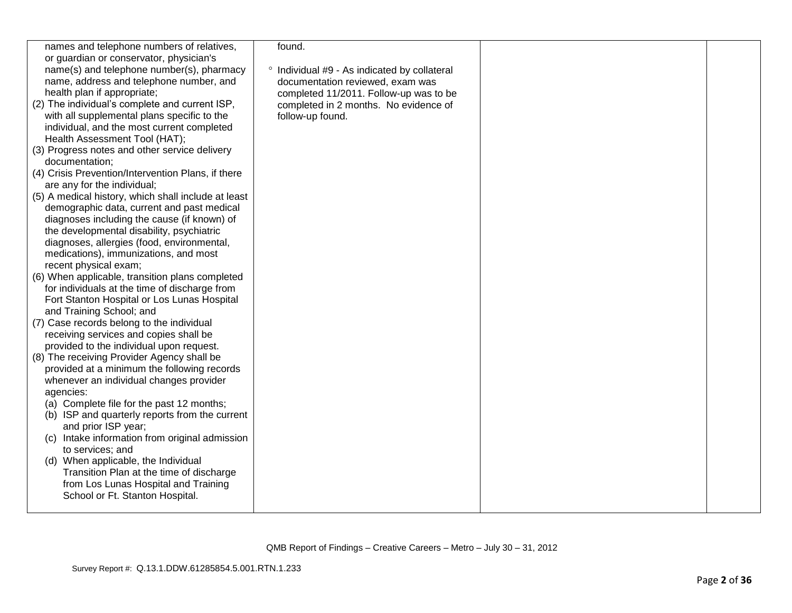| names and telephone numbers of relatives,           | found.                                       |  |
|-----------------------------------------------------|----------------------------------------------|--|
|                                                     |                                              |  |
| or guardian or conservator, physician's             |                                              |  |
| name(s) and telephone number(s), pharmacy           | ° Individual #9 - As indicated by collateral |  |
| name, address and telephone number, and             | documentation reviewed, exam was             |  |
| health plan if appropriate;                         | completed 11/2011. Follow-up was to be       |  |
| (2) The individual's complete and current ISP,      | completed in 2 months. No evidence of        |  |
| with all supplemental plans specific to the         | follow-up found.                             |  |
| individual, and the most current completed          |                                              |  |
| Health Assessment Tool (HAT);                       |                                              |  |
| (3) Progress notes and other service delivery       |                                              |  |
| documentation;                                      |                                              |  |
| (4) Crisis Prevention/Intervention Plans, if there  |                                              |  |
| are any for the individual;                         |                                              |  |
| (5) A medical history, which shall include at least |                                              |  |
| demographic data, current and past medical          |                                              |  |
| diagnoses including the cause (if known) of         |                                              |  |
| the developmental disability, psychiatric           |                                              |  |
|                                                     |                                              |  |
| diagnoses, allergies (food, environmental,          |                                              |  |
| medications), immunizations, and most               |                                              |  |
| recent physical exam;                               |                                              |  |
| (6) When applicable, transition plans completed     |                                              |  |
| for individuals at the time of discharge from       |                                              |  |
| Fort Stanton Hospital or Los Lunas Hospital         |                                              |  |
| and Training School; and                            |                                              |  |
| (7) Case records belong to the individual           |                                              |  |
| receiving services and copies shall be              |                                              |  |
| provided to the individual upon request.            |                                              |  |
| (8) The receiving Provider Agency shall be          |                                              |  |
| provided at a minimum the following records         |                                              |  |
| whenever an individual changes provider             |                                              |  |
| agencies:                                           |                                              |  |
| (a) Complete file for the past 12 months;           |                                              |  |
| (b) ISP and quarterly reports from the current      |                                              |  |
| and prior ISP year;                                 |                                              |  |
| (c) Intake information from original admission      |                                              |  |
| to services; and                                    |                                              |  |
| (d) When applicable, the Individual                 |                                              |  |
| Transition Plan at the time of discharge            |                                              |  |
| from Los Lunas Hospital and Training                |                                              |  |
| School or Ft. Stanton Hospital.                     |                                              |  |
|                                                     |                                              |  |
|                                                     |                                              |  |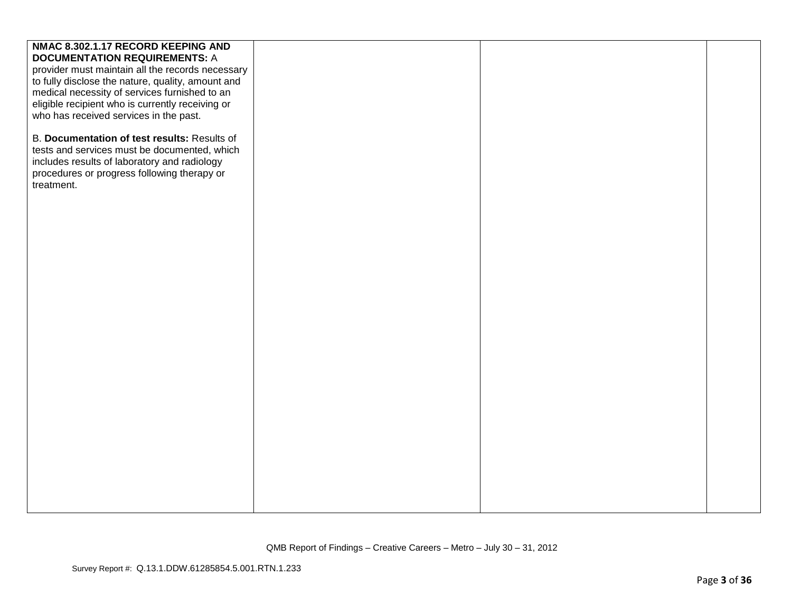| NMAC 8.302.1.17 RECORD KEEPING AND                |  |  |
|---------------------------------------------------|--|--|
| <b>DOCUMENTATION REQUIREMENTS: A</b>              |  |  |
| provider must maintain all the records necessary  |  |  |
| to fully disclose the nature, quality, amount and |  |  |
| medical necessity of services furnished to an     |  |  |
| eligible recipient who is currently receiving or  |  |  |
| who has received services in the past.            |  |  |
|                                                   |  |  |
| B. Documentation of test results: Results of      |  |  |
| tests and services must be documented, which      |  |  |
| includes results of laboratory and radiology      |  |  |
| procedures or progress following therapy or       |  |  |
| treatment.                                        |  |  |
|                                                   |  |  |
|                                                   |  |  |
|                                                   |  |  |
|                                                   |  |  |
|                                                   |  |  |
|                                                   |  |  |
|                                                   |  |  |
|                                                   |  |  |
|                                                   |  |  |
|                                                   |  |  |
|                                                   |  |  |
|                                                   |  |  |
|                                                   |  |  |
|                                                   |  |  |
|                                                   |  |  |
|                                                   |  |  |
|                                                   |  |  |
|                                                   |  |  |
|                                                   |  |  |
|                                                   |  |  |
|                                                   |  |  |
|                                                   |  |  |
|                                                   |  |  |
|                                                   |  |  |
|                                                   |  |  |
|                                                   |  |  |
|                                                   |  |  |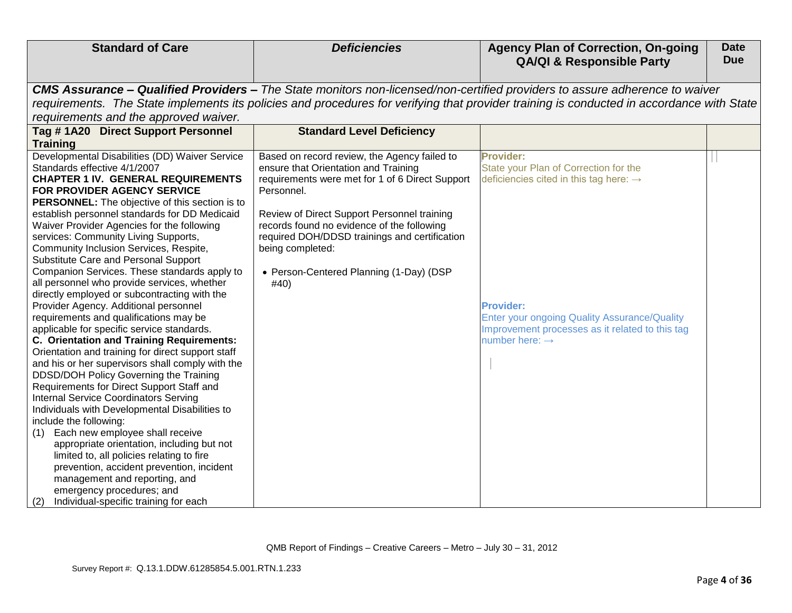| <b>Standard of Care</b>                                                                                                                                                                                                                                                                                                                                                                                                                                                                                                                                                                                                                                                                                                                                                                                                                                                                                                                                                                                                                                                                                                                                                                                                                                                                                                  | <b>Deficiencies</b>                                                                                                                                                                                                                                                                                                                                                        | <b>Agency Plan of Correction, On-going</b>                                                                                                                                                                                                                                  | <b>Date</b> |
|--------------------------------------------------------------------------------------------------------------------------------------------------------------------------------------------------------------------------------------------------------------------------------------------------------------------------------------------------------------------------------------------------------------------------------------------------------------------------------------------------------------------------------------------------------------------------------------------------------------------------------------------------------------------------------------------------------------------------------------------------------------------------------------------------------------------------------------------------------------------------------------------------------------------------------------------------------------------------------------------------------------------------------------------------------------------------------------------------------------------------------------------------------------------------------------------------------------------------------------------------------------------------------------------------------------------------|----------------------------------------------------------------------------------------------------------------------------------------------------------------------------------------------------------------------------------------------------------------------------------------------------------------------------------------------------------------------------|-----------------------------------------------------------------------------------------------------------------------------------------------------------------------------------------------------------------------------------------------------------------------------|-------------|
|                                                                                                                                                                                                                                                                                                                                                                                                                                                                                                                                                                                                                                                                                                                                                                                                                                                                                                                                                                                                                                                                                                                                                                                                                                                                                                                          |                                                                                                                                                                                                                                                                                                                                                                            | <b>QA/QI &amp; Responsible Party</b>                                                                                                                                                                                                                                        | <b>Due</b>  |
|                                                                                                                                                                                                                                                                                                                                                                                                                                                                                                                                                                                                                                                                                                                                                                                                                                                                                                                                                                                                                                                                                                                                                                                                                                                                                                                          |                                                                                                                                                                                                                                                                                                                                                                            |                                                                                                                                                                                                                                                                             |             |
|                                                                                                                                                                                                                                                                                                                                                                                                                                                                                                                                                                                                                                                                                                                                                                                                                                                                                                                                                                                                                                                                                                                                                                                                                                                                                                                          |                                                                                                                                                                                                                                                                                                                                                                            | CMS Assurance - Qualified Providers - The State monitors non-licensed/non-certified providers to assure adherence to waiver<br>requirements. The State implements its policies and procedures for verifying that provider training is conducted in accordance with State    |             |
| requirements and the approved waiver.                                                                                                                                                                                                                                                                                                                                                                                                                                                                                                                                                                                                                                                                                                                                                                                                                                                                                                                                                                                                                                                                                                                                                                                                                                                                                    |                                                                                                                                                                                                                                                                                                                                                                            |                                                                                                                                                                                                                                                                             |             |
| Tag #1A20 Direct Support Personnel                                                                                                                                                                                                                                                                                                                                                                                                                                                                                                                                                                                                                                                                                                                                                                                                                                                                                                                                                                                                                                                                                                                                                                                                                                                                                       | <b>Standard Level Deficiency</b>                                                                                                                                                                                                                                                                                                                                           |                                                                                                                                                                                                                                                                             |             |
| <b>Training</b>                                                                                                                                                                                                                                                                                                                                                                                                                                                                                                                                                                                                                                                                                                                                                                                                                                                                                                                                                                                                                                                                                                                                                                                                                                                                                                          |                                                                                                                                                                                                                                                                                                                                                                            |                                                                                                                                                                                                                                                                             |             |
| Developmental Disabilities (DD) Waiver Service<br>Standards effective 4/1/2007<br><b>CHAPTER 1 IV. GENERAL REQUIREMENTS</b><br>FOR PROVIDER AGENCY SERVICE<br>PERSONNEL: The objective of this section is to<br>establish personnel standards for DD Medicaid<br>Waiver Provider Agencies for the following<br>services: Community Living Supports,<br>Community Inclusion Services, Respite,<br>Substitute Care and Personal Support<br>Companion Services. These standards apply to<br>all personnel who provide services, whether<br>directly employed or subcontracting with the<br>Provider Agency. Additional personnel<br>requirements and qualifications may be<br>applicable for specific service standards.<br><b>C. Orientation and Training Requirements:</b><br>Orientation and training for direct support staff<br>and his or her supervisors shall comply with the<br>DDSD/DOH Policy Governing the Training<br>Requirements for Direct Support Staff and<br><b>Internal Service Coordinators Serving</b><br>Individuals with Developmental Disabilities to<br>include the following:<br>Each new employee shall receive<br>(1)<br>appropriate orientation, including but not<br>limited to, all policies relating to fire<br>prevention, accident prevention, incident<br>management and reporting, and | Based on record review, the Agency failed to<br>ensure that Orientation and Training<br>requirements were met for 1 of 6 Direct Support<br>Personnel.<br>Review of Direct Support Personnel training<br>records found no evidence of the following<br>required DOH/DDSD trainings and certification<br>being completed:<br>• Person-Centered Planning (1-Day) (DSP<br>#40) | <b>Provider:</b><br>State your Plan of Correction for the<br>deficiencies cited in this tag here: $\rightarrow$<br><b>Provider:</b><br><b>Enter your ongoing Quality Assurance/Quality</b><br>Improvement processes as it related to this tag<br>number here: $\rightarrow$ |             |
| emergency procedures; and<br>Individual-specific training for each<br>(2)                                                                                                                                                                                                                                                                                                                                                                                                                                                                                                                                                                                                                                                                                                                                                                                                                                                                                                                                                                                                                                                                                                                                                                                                                                                |                                                                                                                                                                                                                                                                                                                                                                            |                                                                                                                                                                                                                                                                             |             |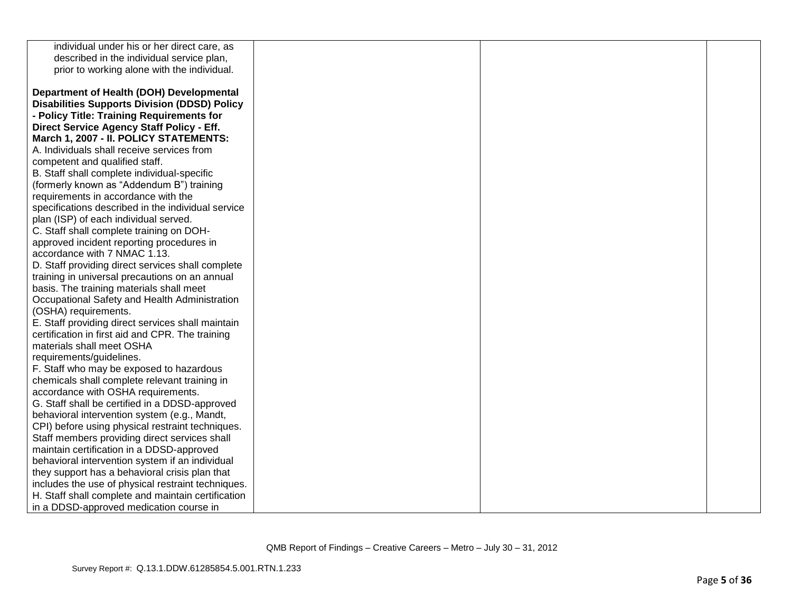| individual under his or her direct care, as         |  |  |
|-----------------------------------------------------|--|--|
| described in the individual service plan,           |  |  |
| prior to working alone with the individual.         |  |  |
|                                                     |  |  |
| Department of Health (DOH) Developmental            |  |  |
| <b>Disabilities Supports Division (DDSD) Policy</b> |  |  |
| - Policy Title: Training Requirements for           |  |  |
| Direct Service Agency Staff Policy - Eff.           |  |  |
| March 1, 2007 - II. POLICY STATEMENTS:              |  |  |
| A. Individuals shall receive services from          |  |  |
| competent and qualified staff.                      |  |  |
| B. Staff shall complete individual-specific         |  |  |
| (formerly known as "Addendum B") training           |  |  |
| requirements in accordance with the                 |  |  |
| specifications described in the individual service  |  |  |
| plan (ISP) of each individual served.               |  |  |
| C. Staff shall complete training on DOH-            |  |  |
| approved incident reporting procedures in           |  |  |
| accordance with 7 NMAC 1.13.                        |  |  |
| D. Staff providing direct services shall complete   |  |  |
| training in universal precautions on an annual      |  |  |
| basis. The training materials shall meet            |  |  |
| Occupational Safety and Health Administration       |  |  |
| (OSHA) requirements.                                |  |  |
| E. Staff providing direct services shall maintain   |  |  |
| certification in first aid and CPR. The training    |  |  |
| materials shall meet OSHA                           |  |  |
| requirements/guidelines.                            |  |  |
| F. Staff who may be exposed to hazardous            |  |  |
| chemicals shall complete relevant training in       |  |  |
| accordance with OSHA requirements.                  |  |  |
| G. Staff shall be certified in a DDSD-approved      |  |  |
| behavioral intervention system (e.g., Mandt,        |  |  |
| CPI) before using physical restraint techniques.    |  |  |
| Staff members providing direct services shall       |  |  |
| maintain certification in a DDSD-approved           |  |  |
| behavioral intervention system if an individual     |  |  |
| they support has a behavioral crisis plan that      |  |  |
| includes the use of physical restraint techniques.  |  |  |
| H. Staff shall complete and maintain certification  |  |  |
| in a DDSD-approved medication course in             |  |  |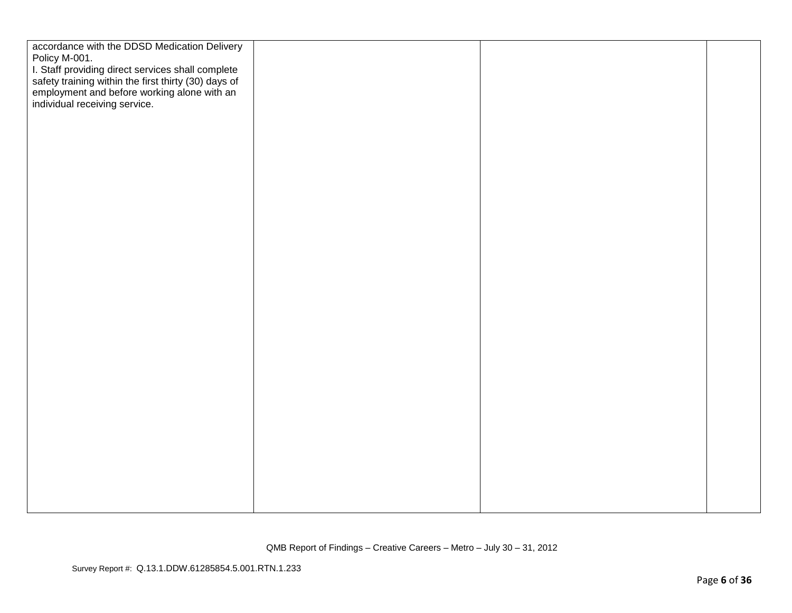| accordance with the DDSD Medication Delivery                                                                                                                                              |  |  |
|-------------------------------------------------------------------------------------------------------------------------------------------------------------------------------------------|--|--|
| Policy M-001.                                                                                                                                                                             |  |  |
| I. Staff providing direct services shall complete<br>safety training within the first thirty (30) days of<br>employment and before working alone with an<br>individual receiving service. |  |  |
|                                                                                                                                                                                           |  |  |
|                                                                                                                                                                                           |  |  |
|                                                                                                                                                                                           |  |  |
|                                                                                                                                                                                           |  |  |
|                                                                                                                                                                                           |  |  |
|                                                                                                                                                                                           |  |  |
|                                                                                                                                                                                           |  |  |
|                                                                                                                                                                                           |  |  |
|                                                                                                                                                                                           |  |  |
|                                                                                                                                                                                           |  |  |
|                                                                                                                                                                                           |  |  |
|                                                                                                                                                                                           |  |  |
|                                                                                                                                                                                           |  |  |
|                                                                                                                                                                                           |  |  |
|                                                                                                                                                                                           |  |  |
|                                                                                                                                                                                           |  |  |
|                                                                                                                                                                                           |  |  |
|                                                                                                                                                                                           |  |  |
|                                                                                                                                                                                           |  |  |
|                                                                                                                                                                                           |  |  |
|                                                                                                                                                                                           |  |  |
|                                                                                                                                                                                           |  |  |
|                                                                                                                                                                                           |  |  |
|                                                                                                                                                                                           |  |  |
|                                                                                                                                                                                           |  |  |
|                                                                                                                                                                                           |  |  |
|                                                                                                                                                                                           |  |  |
|                                                                                                                                                                                           |  |  |
|                                                                                                                                                                                           |  |  |
|                                                                                                                                                                                           |  |  |
|                                                                                                                                                                                           |  |  |
|                                                                                                                                                                                           |  |  |
|                                                                                                                                                                                           |  |  |
|                                                                                                                                                                                           |  |  |
|                                                                                                                                                                                           |  |  |
|                                                                                                                                                                                           |  |  |
|                                                                                                                                                                                           |  |  |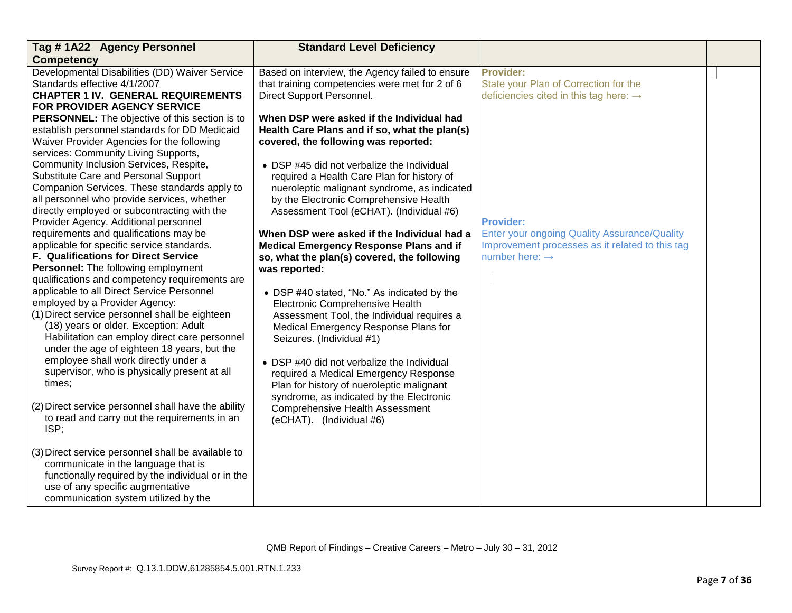| Tag # 1A22 Agency Personnel                                                    | <b>Standard Level Deficiency</b>                                                   |                                                     |  |
|--------------------------------------------------------------------------------|------------------------------------------------------------------------------------|-----------------------------------------------------|--|
| <b>Competency</b>                                                              |                                                                                    |                                                     |  |
| Developmental Disabilities (DD) Waiver Service                                 | Based on interview, the Agency failed to ensure                                    | Provider:                                           |  |
| Standards effective 4/1/2007                                                   | that training competencies were met for 2 of 6                                     | State your Plan of Correction for the               |  |
| <b>CHAPTER 1 IV. GENERAL REQUIREMENTS</b>                                      | Direct Support Personnel.                                                          | deficiencies cited in this tag here: $\rightarrow$  |  |
| FOR PROVIDER AGENCY SERVICE                                                    |                                                                                    |                                                     |  |
| PERSONNEL: The objective of this section is to                                 | When DSP were asked if the Individual had                                          |                                                     |  |
| establish personnel standards for DD Medicaid                                  | Health Care Plans and if so, what the plan(s)                                      |                                                     |  |
| Waiver Provider Agencies for the following                                     | covered, the following was reported:                                               |                                                     |  |
| services: Community Living Supports,                                           |                                                                                    |                                                     |  |
| Community Inclusion Services, Respite,<br>Substitute Care and Personal Support | • DSP #45 did not verbalize the Individual                                         |                                                     |  |
| Companion Services. These standards apply to                                   | required a Health Care Plan for history of                                         |                                                     |  |
| all personnel who provide services, whether                                    | nueroleptic malignant syndrome, as indicated                                       |                                                     |  |
| directly employed or subcontracting with the                                   | by the Electronic Comprehensive Health<br>Assessment Tool (eCHAT). (Individual #6) |                                                     |  |
| Provider Agency. Additional personnel                                          |                                                                                    | <b>Provider:</b>                                    |  |
| requirements and qualifications may be                                         | When DSP were asked if the Individual had a                                        | <b>Enter your ongoing Quality Assurance/Quality</b> |  |
| applicable for specific service standards.                                     | Medical Emergency Response Plans and if                                            | Improvement processes as it related to this tag     |  |
| F. Qualifications for Direct Service                                           | so, what the plan(s) covered, the following                                        | number here: $\rightarrow$                          |  |
| Personnel: The following employment                                            | was reported:                                                                      |                                                     |  |
| qualifications and competency requirements are                                 |                                                                                    |                                                     |  |
| applicable to all Direct Service Personnel                                     | • DSP #40 stated, "No." As indicated by the                                        |                                                     |  |
| employed by a Provider Agency:                                                 | Electronic Comprehensive Health                                                    |                                                     |  |
| (1) Direct service personnel shall be eighteen                                 | Assessment Tool, the Individual requires a                                         |                                                     |  |
| (18) years or older. Exception: Adult                                          | Medical Emergency Response Plans for                                               |                                                     |  |
| Habilitation can employ direct care personnel                                  | Seizures. (Individual #1)                                                          |                                                     |  |
| under the age of eighteen 18 years, but the                                    |                                                                                    |                                                     |  |
| employee shall work directly under a                                           | • DSP #40 did not verbalize the Individual                                         |                                                     |  |
| supervisor, who is physically present at all                                   | required a Medical Emergency Response                                              |                                                     |  |
| times;                                                                         | Plan for history of nueroleptic malignant                                          |                                                     |  |
|                                                                                | syndrome, as indicated by the Electronic                                           |                                                     |  |
| (2) Direct service personnel shall have the ability                            | <b>Comprehensive Health Assessment</b>                                             |                                                     |  |
| to read and carry out the requirements in an                                   | (eCHAT). (Individual #6)                                                           |                                                     |  |
| ISP;                                                                           |                                                                                    |                                                     |  |
|                                                                                |                                                                                    |                                                     |  |
| (3) Direct service personnel shall be available to                             |                                                                                    |                                                     |  |
| communicate in the language that is                                            |                                                                                    |                                                     |  |
| functionally required by the individual or in the                              |                                                                                    |                                                     |  |
| use of any specific augmentative                                               |                                                                                    |                                                     |  |
| communication system utilized by the                                           |                                                                                    |                                                     |  |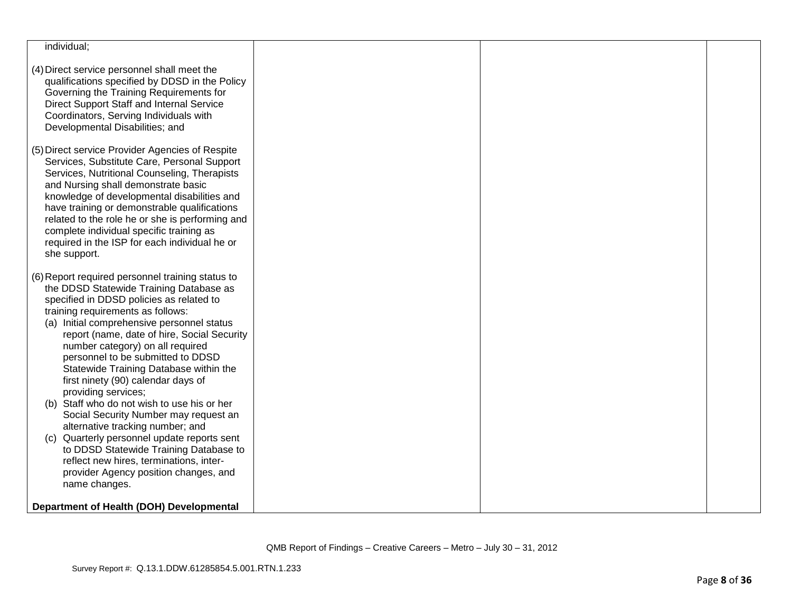| individual;                                                                                                                                                                                                                                                                                                                                                                                                                                                                                                                                                                                                                                                                                                                  |  |  |
|------------------------------------------------------------------------------------------------------------------------------------------------------------------------------------------------------------------------------------------------------------------------------------------------------------------------------------------------------------------------------------------------------------------------------------------------------------------------------------------------------------------------------------------------------------------------------------------------------------------------------------------------------------------------------------------------------------------------------|--|--|
| (4) Direct service personnel shall meet the<br>qualifications specified by DDSD in the Policy<br>Governing the Training Requirements for<br>Direct Support Staff and Internal Service<br>Coordinators, Serving Individuals with<br>Developmental Disabilities; and                                                                                                                                                                                                                                                                                                                                                                                                                                                           |  |  |
| (5) Direct service Provider Agencies of Respite<br>Services, Substitute Care, Personal Support<br>Services, Nutritional Counseling, Therapists<br>and Nursing shall demonstrate basic<br>knowledge of developmental disabilities and<br>have training or demonstrable qualifications<br>related to the role he or she is performing and<br>complete individual specific training as<br>required in the ISP for each individual he or<br>she support.                                                                                                                                                                                                                                                                         |  |  |
| (6) Report required personnel training status to<br>the DDSD Statewide Training Database as<br>specified in DDSD policies as related to<br>training requirements as follows:<br>(a) Initial comprehensive personnel status<br>report (name, date of hire, Social Security<br>number category) on all required<br>personnel to be submitted to DDSD<br>Statewide Training Database within the<br>first ninety (90) calendar days of<br>providing services;<br>(b) Staff who do not wish to use his or her<br>Social Security Number may request an<br>alternative tracking number; and<br>Quarterly personnel update reports sent<br>(c)<br>to DDSD Statewide Training Database to<br>reflect new hires, terminations, inter- |  |  |
| provider Agency position changes, and<br>name changes.<br>Department of Health (DOH) Developmental                                                                                                                                                                                                                                                                                                                                                                                                                                                                                                                                                                                                                           |  |  |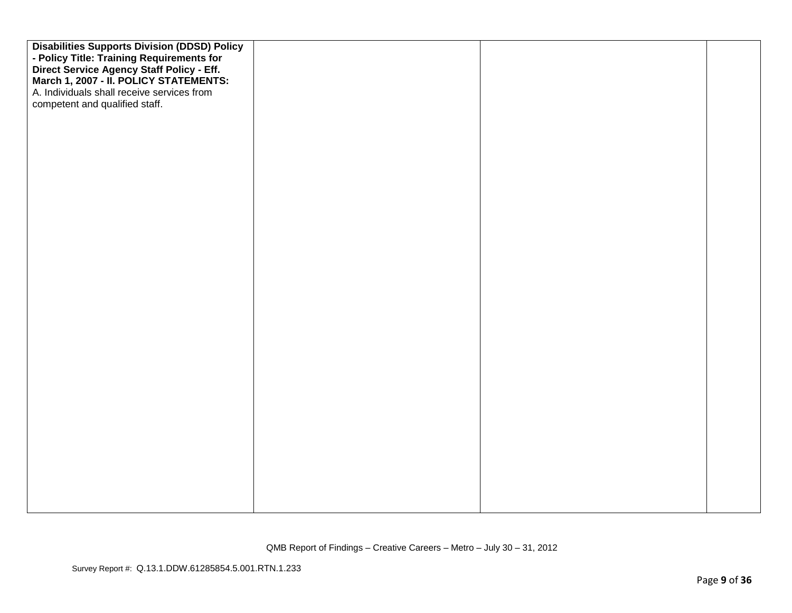| <b>Disabilities Supports Division (DDSD) Policy</b><br>- Policy Title: Training Requirements for<br>Direct Service Agency Staff Policy - Eff.<br>March 1, 2007 - II. POLICY STATEMENTS:<br>A. Individuals shall receive services from<br>competent and qualified staff. |  |  |
|-------------------------------------------------------------------------------------------------------------------------------------------------------------------------------------------------------------------------------------------------------------------------|--|--|
|                                                                                                                                                                                                                                                                         |  |  |
|                                                                                                                                                                                                                                                                         |  |  |
|                                                                                                                                                                                                                                                                         |  |  |
|                                                                                                                                                                                                                                                                         |  |  |
|                                                                                                                                                                                                                                                                         |  |  |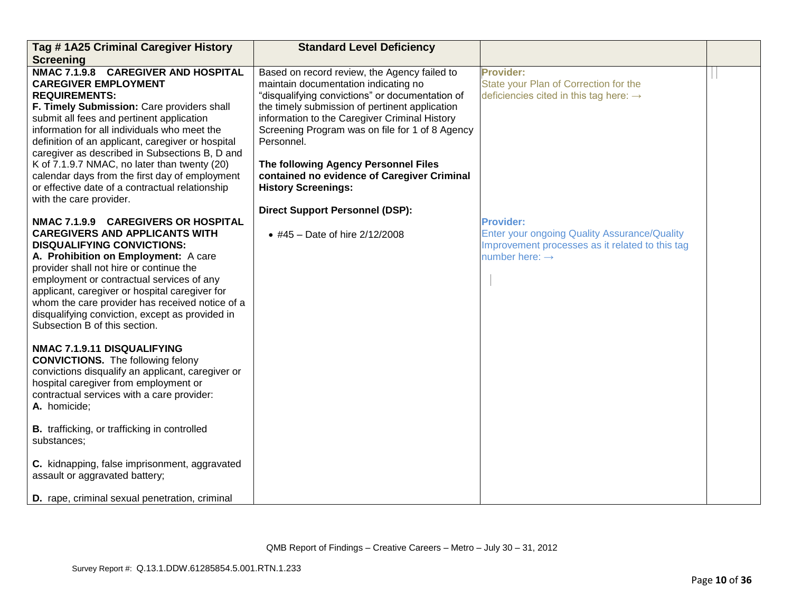| Tag #1A25 Criminal Caregiver History                                                                                                                                                                                                                                                                                                                                                                                                                                                                                                          | <b>Standard Level Deficiency</b>                                                                                                                                                                                                                                                                                                                                                                                                 |                                                                                                                                                          |  |
|-----------------------------------------------------------------------------------------------------------------------------------------------------------------------------------------------------------------------------------------------------------------------------------------------------------------------------------------------------------------------------------------------------------------------------------------------------------------------------------------------------------------------------------------------|----------------------------------------------------------------------------------------------------------------------------------------------------------------------------------------------------------------------------------------------------------------------------------------------------------------------------------------------------------------------------------------------------------------------------------|----------------------------------------------------------------------------------------------------------------------------------------------------------|--|
| <b>Screening</b>                                                                                                                                                                                                                                                                                                                                                                                                                                                                                                                              |                                                                                                                                                                                                                                                                                                                                                                                                                                  |                                                                                                                                                          |  |
| <b>NMAC 7.1.9.8</b><br><b>CAREGIVER AND HOSPITAL</b><br><b>CAREGIVER EMPLOYMENT</b><br><b>REQUIREMENTS:</b><br>F. Timely Submission: Care providers shall<br>submit all fees and pertinent application<br>information for all individuals who meet the<br>definition of an applicant, caregiver or hospital<br>caregiver as described in Subsections B, D and<br>K of 7.1.9.7 NMAC, no later than twenty (20)<br>calendar days from the first day of employment<br>or effective date of a contractual relationship<br>with the care provider. | Based on record review, the Agency failed to<br>maintain documentation indicating no<br>"disqualifying convictions" or documentation of<br>the timely submission of pertinent application<br>information to the Caregiver Criminal History<br>Screening Program was on file for 1 of 8 Agency<br>Personnel.<br>The following Agency Personnel Files<br>contained no evidence of Caregiver Criminal<br><b>History Screenings:</b> | <b>Provider:</b><br>State your Plan of Correction for the<br>deficiencies cited in this tag here: $\rightarrow$                                          |  |
|                                                                                                                                                                                                                                                                                                                                                                                                                                                                                                                                               | <b>Direct Support Personnel (DSP):</b>                                                                                                                                                                                                                                                                                                                                                                                           |                                                                                                                                                          |  |
| NMAC 7.1.9.9 CAREGIVERS OR HOSPITAL<br><b>CAREGIVERS AND APPLICANTS WITH</b><br><b>DISQUALIFYING CONVICTIONS:</b><br>A. Prohibition on Employment: A care<br>provider shall not hire or continue the<br>employment or contractual services of any<br>applicant, caregiver or hospital caregiver for<br>whom the care provider has received notice of a<br>disqualifying conviction, except as provided in<br>Subsection B of this section.                                                                                                    | • #45 – Date of hire $2/12/2008$                                                                                                                                                                                                                                                                                                                                                                                                 | <b>Provider:</b><br><b>Enter your ongoing Quality Assurance/Quality</b><br>Improvement processes as it related to this tag<br>number here: $\rightarrow$ |  |
| NMAC 7.1.9.11 DISQUALIFYING<br><b>CONVICTIONS.</b> The following felony<br>convictions disqualify an applicant, caregiver or<br>hospital caregiver from employment or<br>contractual services with a care provider:<br>A. homicide;                                                                                                                                                                                                                                                                                                           |                                                                                                                                                                                                                                                                                                                                                                                                                                  |                                                                                                                                                          |  |
| <b>B.</b> trafficking, or trafficking in controlled<br>substances;                                                                                                                                                                                                                                                                                                                                                                                                                                                                            |                                                                                                                                                                                                                                                                                                                                                                                                                                  |                                                                                                                                                          |  |
| C. kidnapping, false imprisonment, aggravated<br>assault or aggravated battery;                                                                                                                                                                                                                                                                                                                                                                                                                                                               |                                                                                                                                                                                                                                                                                                                                                                                                                                  |                                                                                                                                                          |  |
| D. rape, criminal sexual penetration, criminal                                                                                                                                                                                                                                                                                                                                                                                                                                                                                                |                                                                                                                                                                                                                                                                                                                                                                                                                                  |                                                                                                                                                          |  |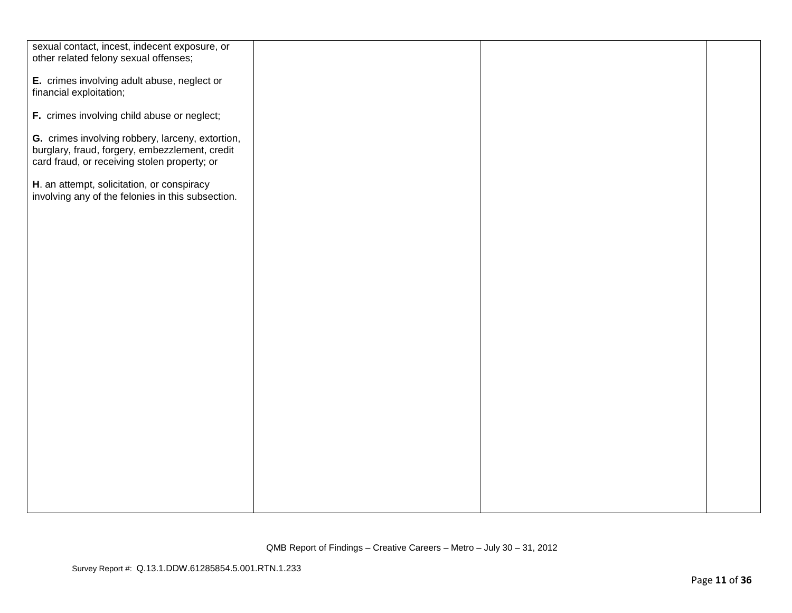| sexual contact, incest, indecent exposure, or     |  |  |
|---------------------------------------------------|--|--|
| other related felony sexual offenses;             |  |  |
|                                                   |  |  |
| E. crimes involving adult abuse, neglect or       |  |  |
| financial exploitation;                           |  |  |
|                                                   |  |  |
| F. crimes involving child abuse or neglect;       |  |  |
|                                                   |  |  |
| G. crimes involving robbery, larceny, extortion,  |  |  |
| burglary, fraud, forgery, embezzlement, credit    |  |  |
| card fraud, or receiving stolen property; or      |  |  |
|                                                   |  |  |
| H. an attempt, solicitation, or conspiracy        |  |  |
| involving any of the felonies in this subsection. |  |  |
|                                                   |  |  |
|                                                   |  |  |
|                                                   |  |  |
|                                                   |  |  |
|                                                   |  |  |
|                                                   |  |  |
|                                                   |  |  |
|                                                   |  |  |
|                                                   |  |  |
|                                                   |  |  |
|                                                   |  |  |
|                                                   |  |  |
|                                                   |  |  |
|                                                   |  |  |
|                                                   |  |  |
|                                                   |  |  |
|                                                   |  |  |
|                                                   |  |  |
|                                                   |  |  |
|                                                   |  |  |
|                                                   |  |  |
|                                                   |  |  |
|                                                   |  |  |
|                                                   |  |  |
|                                                   |  |  |
|                                                   |  |  |
|                                                   |  |  |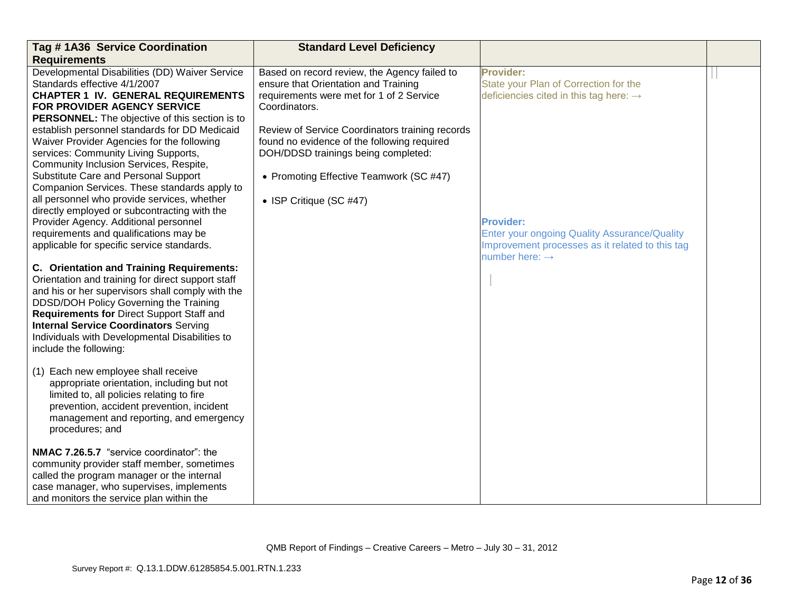| Tag # 1A36 Service Coordination                                                                                                                                                                                                                                                                                                                                                                                                                                                                                                                                                                                                                                                                                                                                                                                                                                                                                                                                                                                                                                                                                                                                                                                                                                                                                                             | <b>Standard Level Deficiency</b>                                                                                                                                                                                                                                                                                                                                 |                                                                                                                                                                                                                                                                             |  |
|---------------------------------------------------------------------------------------------------------------------------------------------------------------------------------------------------------------------------------------------------------------------------------------------------------------------------------------------------------------------------------------------------------------------------------------------------------------------------------------------------------------------------------------------------------------------------------------------------------------------------------------------------------------------------------------------------------------------------------------------------------------------------------------------------------------------------------------------------------------------------------------------------------------------------------------------------------------------------------------------------------------------------------------------------------------------------------------------------------------------------------------------------------------------------------------------------------------------------------------------------------------------------------------------------------------------------------------------|------------------------------------------------------------------------------------------------------------------------------------------------------------------------------------------------------------------------------------------------------------------------------------------------------------------------------------------------------------------|-----------------------------------------------------------------------------------------------------------------------------------------------------------------------------------------------------------------------------------------------------------------------------|--|
| <b>Requirements</b>                                                                                                                                                                                                                                                                                                                                                                                                                                                                                                                                                                                                                                                                                                                                                                                                                                                                                                                                                                                                                                                                                                                                                                                                                                                                                                                         |                                                                                                                                                                                                                                                                                                                                                                  |                                                                                                                                                                                                                                                                             |  |
| Developmental Disabilities (DD) Waiver Service<br>Standards effective 4/1/2007<br><b>CHAPTER 1 IV. GENERAL REQUIREMENTS</b><br>FOR PROVIDER AGENCY SERVICE<br>PERSONNEL: The objective of this section is to<br>establish personnel standards for DD Medicaid<br>Waiver Provider Agencies for the following<br>services: Community Living Supports,<br>Community Inclusion Services, Respite,<br>Substitute Care and Personal Support<br>Companion Services. These standards apply to<br>all personnel who provide services, whether<br>directly employed or subcontracting with the<br>Provider Agency. Additional personnel<br>requirements and qualifications may be<br>applicable for specific service standards.<br>C. Orientation and Training Requirements:<br>Orientation and training for direct support staff<br>and his or her supervisors shall comply with the<br>DDSD/DOH Policy Governing the Training<br>Requirements for Direct Support Staff and<br><b>Internal Service Coordinators Serving</b><br>Individuals with Developmental Disabilities to<br>include the following:<br>(1) Each new employee shall receive<br>appropriate orientation, including but not<br>limited to, all policies relating to fire<br>prevention, accident prevention, incident<br>management and reporting, and emergency<br>procedures; and | Based on record review, the Agency failed to<br>ensure that Orientation and Training<br>requirements were met for 1 of 2 Service<br>Coordinators.<br>Review of Service Coordinators training records<br>found no evidence of the following required<br>DOH/DDSD trainings being completed:<br>• Promoting Effective Teamwork (SC #47)<br>• ISP Critique (SC #47) | <b>Provider:</b><br>State your Plan of Correction for the<br>deficiencies cited in this tag here: $\rightarrow$<br><b>Provider:</b><br><b>Enter your ongoing Quality Assurance/Quality</b><br>Improvement processes as it related to this tag<br>number here: $\rightarrow$ |  |
| NMAC 7.26.5.7 "service coordinator": the<br>community provider staff member, sometimes<br>called the program manager or the internal<br>case manager, who supervises, implements<br>and monitors the service plan within the                                                                                                                                                                                                                                                                                                                                                                                                                                                                                                                                                                                                                                                                                                                                                                                                                                                                                                                                                                                                                                                                                                                |                                                                                                                                                                                                                                                                                                                                                                  |                                                                                                                                                                                                                                                                             |  |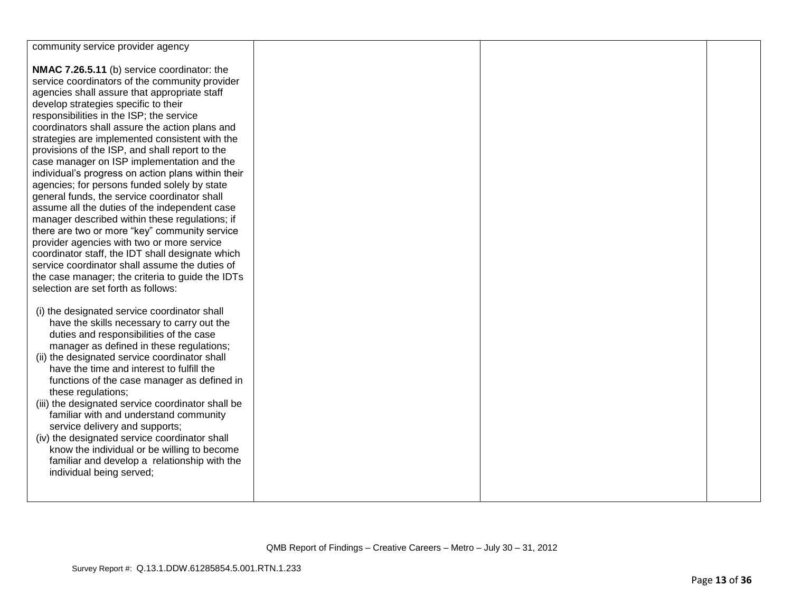| community service provider agency                  |  |  |
|----------------------------------------------------|--|--|
|                                                    |  |  |
| NMAC 7.26.5.11 (b) service coordinator: the        |  |  |
| service coordinators of the community provider     |  |  |
| agencies shall assure that appropriate staff       |  |  |
| develop strategies specific to their               |  |  |
| responsibilities in the ISP; the service           |  |  |
| coordinators shall assure the action plans and     |  |  |
|                                                    |  |  |
| strategies are implemented consistent with the     |  |  |
| provisions of the ISP, and shall report to the     |  |  |
| case manager on ISP implementation and the         |  |  |
| individual's progress on action plans within their |  |  |
| agencies; for persons funded solely by state       |  |  |
| general funds, the service coordinator shall       |  |  |
| assume all the duties of the independent case      |  |  |
| manager described within these regulations; if     |  |  |
| there are two or more "key" community service      |  |  |
| provider agencies with two or more service         |  |  |
| coordinator staff, the IDT shall designate which   |  |  |
| service coordinator shall assume the duties of     |  |  |
| the case manager; the criteria to guide the IDTs   |  |  |
| selection are set forth as follows:                |  |  |
|                                                    |  |  |
|                                                    |  |  |
| (i) the designated service coordinator shall       |  |  |
| have the skills necessary to carry out the         |  |  |
| duties and responsibilities of the case            |  |  |
| manager as defined in these regulations;           |  |  |
| (ii) the designated service coordinator shall      |  |  |
| have the time and interest to fulfill the          |  |  |
| functions of the case manager as defined in        |  |  |
| these regulations;                                 |  |  |
| (iii) the designated service coordinator shall be  |  |  |
| familiar with and understand community             |  |  |
| service delivery and supports;                     |  |  |
| (iv) the designated service coordinator shall      |  |  |
| know the individual or be willing to become        |  |  |
| familiar and develop a relationship with the       |  |  |
|                                                    |  |  |
| individual being served;                           |  |  |
|                                                    |  |  |
|                                                    |  |  |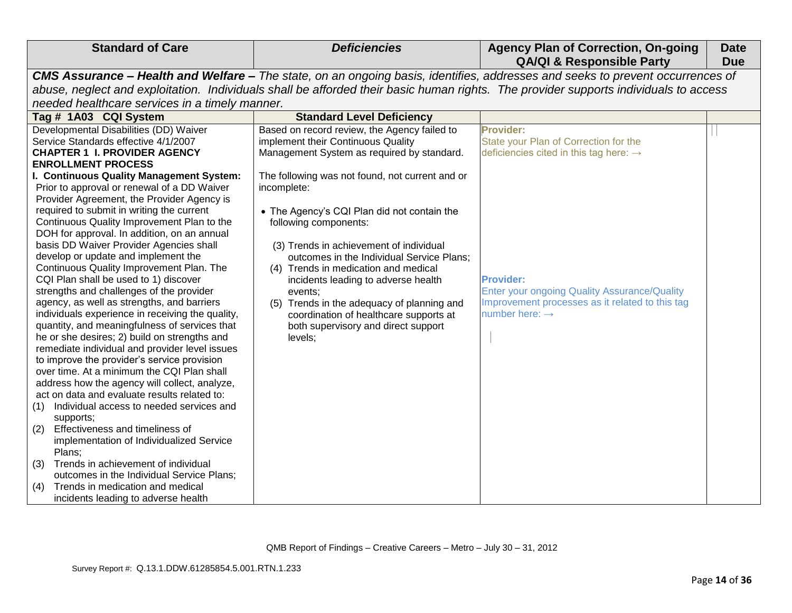| <b>Standard of Care</b>                                                                                                                                                                                                                                                                                                                                                                                                                                                                                                                                                                                                                                                                                                                                                                                                                                                                                                                                                                                                                                                                                                                                                                                                                                                                                                                                                                                           | <b>Deficiencies</b>                                                                                                                                                                                                                                                                                                                                                                                                                                                                                                                                                                                       | <b>Agency Plan of Correction, On-going</b><br><b>QA/QI &amp; Responsible Party</b>                                                                                                                                                                                   | <b>Date</b><br><b>Due</b> |
|-------------------------------------------------------------------------------------------------------------------------------------------------------------------------------------------------------------------------------------------------------------------------------------------------------------------------------------------------------------------------------------------------------------------------------------------------------------------------------------------------------------------------------------------------------------------------------------------------------------------------------------------------------------------------------------------------------------------------------------------------------------------------------------------------------------------------------------------------------------------------------------------------------------------------------------------------------------------------------------------------------------------------------------------------------------------------------------------------------------------------------------------------------------------------------------------------------------------------------------------------------------------------------------------------------------------------------------------------------------------------------------------------------------------|-----------------------------------------------------------------------------------------------------------------------------------------------------------------------------------------------------------------------------------------------------------------------------------------------------------------------------------------------------------------------------------------------------------------------------------------------------------------------------------------------------------------------------------------------------------------------------------------------------------|----------------------------------------------------------------------------------------------------------------------------------------------------------------------------------------------------------------------------------------------------------------------|---------------------------|
|                                                                                                                                                                                                                                                                                                                                                                                                                                                                                                                                                                                                                                                                                                                                                                                                                                                                                                                                                                                                                                                                                                                                                                                                                                                                                                                                                                                                                   |                                                                                                                                                                                                                                                                                                                                                                                                                                                                                                                                                                                                           | CMS Assurance - Health and Welfare - The state, on an ongoing basis, identifies, addresses and seeks to prevent occurrences of                                                                                                                                       |                           |
|                                                                                                                                                                                                                                                                                                                                                                                                                                                                                                                                                                                                                                                                                                                                                                                                                                                                                                                                                                                                                                                                                                                                                                                                                                                                                                                                                                                                                   |                                                                                                                                                                                                                                                                                                                                                                                                                                                                                                                                                                                                           | abuse, neglect and exploitation. Individuals shall be afforded their basic human rights. The provider supports individuals to access                                                                                                                                 |                           |
| needed healthcare services in a timely manner.                                                                                                                                                                                                                                                                                                                                                                                                                                                                                                                                                                                                                                                                                                                                                                                                                                                                                                                                                                                                                                                                                                                                                                                                                                                                                                                                                                    |                                                                                                                                                                                                                                                                                                                                                                                                                                                                                                                                                                                                           |                                                                                                                                                                                                                                                                      |                           |
| Tag # 1A03 CQI System                                                                                                                                                                                                                                                                                                                                                                                                                                                                                                                                                                                                                                                                                                                                                                                                                                                                                                                                                                                                                                                                                                                                                                                                                                                                                                                                                                                             | <b>Standard Level Deficiency</b>                                                                                                                                                                                                                                                                                                                                                                                                                                                                                                                                                                          |                                                                                                                                                                                                                                                                      |                           |
| Developmental Disabilities (DD) Waiver<br>Service Standards effective 4/1/2007<br><b>CHAPTER 1 I. PROVIDER AGENCY</b><br><b>ENROLLMENT PROCESS</b><br>I. Continuous Quality Management System:<br>Prior to approval or renewal of a DD Waiver<br>Provider Agreement, the Provider Agency is<br>required to submit in writing the current<br>Continuous Quality Improvement Plan to the<br>DOH for approval. In addition, on an annual<br>basis DD Waiver Provider Agencies shall<br>develop or update and implement the<br>Continuous Quality Improvement Plan. The<br>CQI Plan shall be used to 1) discover<br>strengths and challenges of the provider<br>agency, as well as strengths, and barriers<br>individuals experience in receiving the quality,<br>quantity, and meaningfulness of services that<br>he or she desires; 2) build on strengths and<br>remediate individual and provider level issues<br>to improve the provider's service provision<br>over time. At a minimum the CQI Plan shall<br>address how the agency will collect, analyze,<br>act on data and evaluate results related to:<br>Individual access to needed services and<br>(1)<br>supports;<br>Effectiveness and timeliness of<br>(2)<br>implementation of Individualized Service<br>Plans:<br>Trends in achievement of individual<br>(3)<br>outcomes in the Individual Service Plans;<br>Trends in medication and medical<br>(4) | Based on record review, the Agency failed to<br>implement their Continuous Quality<br>Management System as required by standard.<br>The following was not found, not current and or<br>incomplete:<br>• The Agency's CQI Plan did not contain the<br>following components:<br>(3) Trends in achievement of individual<br>outcomes in the Individual Service Plans;<br>(4) Trends in medication and medical<br>incidents leading to adverse health<br>events;<br>Trends in the adequacy of planning and<br>(5)<br>coordination of healthcare supports at<br>both supervisory and direct support<br>levels; | Provider:<br>State your Plan of Correction for the<br>deficiencies cited in this tag here: $\rightarrow$<br><b>Provider:</b><br><b>Enter your ongoing Quality Assurance/Quality</b><br>Improvement processes as it related to this tag<br>number here: $\rightarrow$ |                           |
| incidents leading to adverse health                                                                                                                                                                                                                                                                                                                                                                                                                                                                                                                                                                                                                                                                                                                                                                                                                                                                                                                                                                                                                                                                                                                                                                                                                                                                                                                                                                               |                                                                                                                                                                                                                                                                                                                                                                                                                                                                                                                                                                                                           |                                                                                                                                                                                                                                                                      |                           |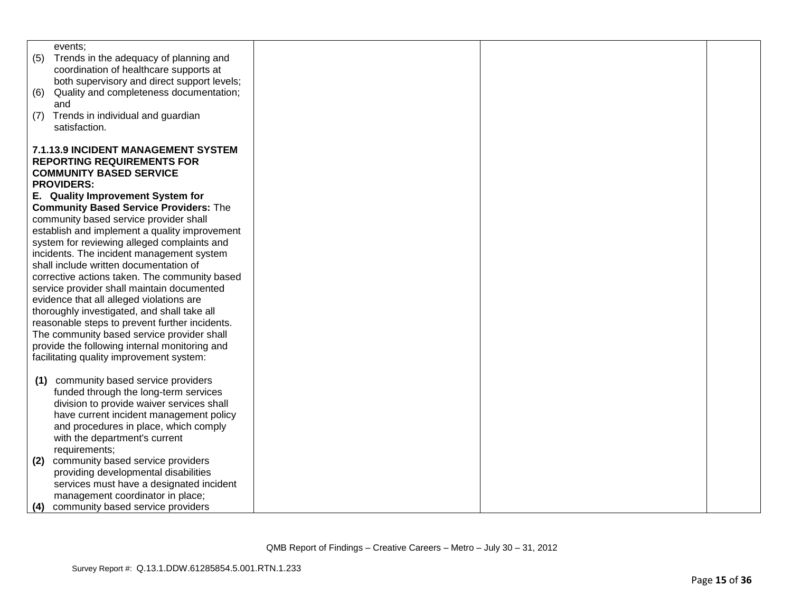| events:                                        |  |  |
|------------------------------------------------|--|--|
| Trends in the adequacy of planning and<br>(5)  |  |  |
| coordination of healthcare supports at         |  |  |
| both supervisory and direct support levels;    |  |  |
| Quality and completeness documentation;<br>(6) |  |  |
| and                                            |  |  |
| Trends in individual and guardian<br>(7)       |  |  |
| satisfaction.                                  |  |  |
| <b>7.1.13.9 INCIDENT MANAGEMENT SYSTEM</b>     |  |  |
| <b>REPORTING REQUIREMENTS FOR</b>              |  |  |
| <b>COMMUNITY BASED SERVICE</b>                 |  |  |
| <b>PROVIDERS:</b>                              |  |  |
| E. Quality Improvement System for              |  |  |
| <b>Community Based Service Providers: The</b>  |  |  |
|                                                |  |  |
| community based service provider shall         |  |  |
| establish and implement a quality improvement  |  |  |
| system for reviewing alleged complaints and    |  |  |
| incidents. The incident management system      |  |  |
| shall include written documentation of         |  |  |
| corrective actions taken. The community based  |  |  |
| service provider shall maintain documented     |  |  |
| evidence that all alleged violations are       |  |  |
| thoroughly investigated, and shall take all    |  |  |
| reasonable steps to prevent further incidents. |  |  |
| The community based service provider shall     |  |  |
| provide the following internal monitoring and  |  |  |
| facilitating quality improvement system:       |  |  |
|                                                |  |  |
| community based service providers<br>(1)       |  |  |
| funded through the long-term services          |  |  |
| division to provide waiver services shall      |  |  |
| have current incident management policy        |  |  |
| and procedures in place, which comply          |  |  |
| with the department's current                  |  |  |
| requirements;                                  |  |  |
| community based service providers<br>(2)       |  |  |
| providing developmental disabilities           |  |  |
| services must have a designated incident       |  |  |
| management coordinator in place;               |  |  |
| community based service providers<br>(4)       |  |  |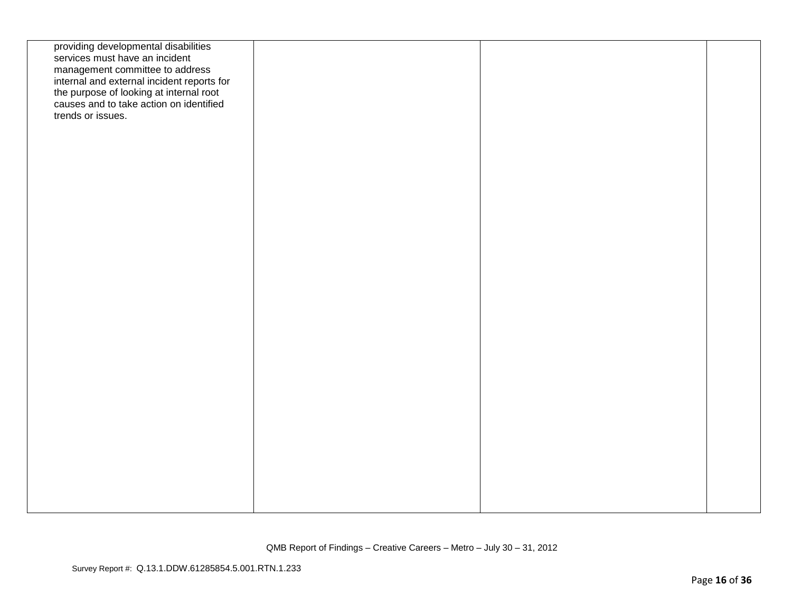| providing developmental disabilities<br>services must have an incident<br>management committee to address<br>internal and external incident reports for<br>the purpose of looking at internal root<br>causes and to take action on identified<br>trends or issues. |  |  |
|--------------------------------------------------------------------------------------------------------------------------------------------------------------------------------------------------------------------------------------------------------------------|--|--|
|                                                                                                                                                                                                                                                                    |  |  |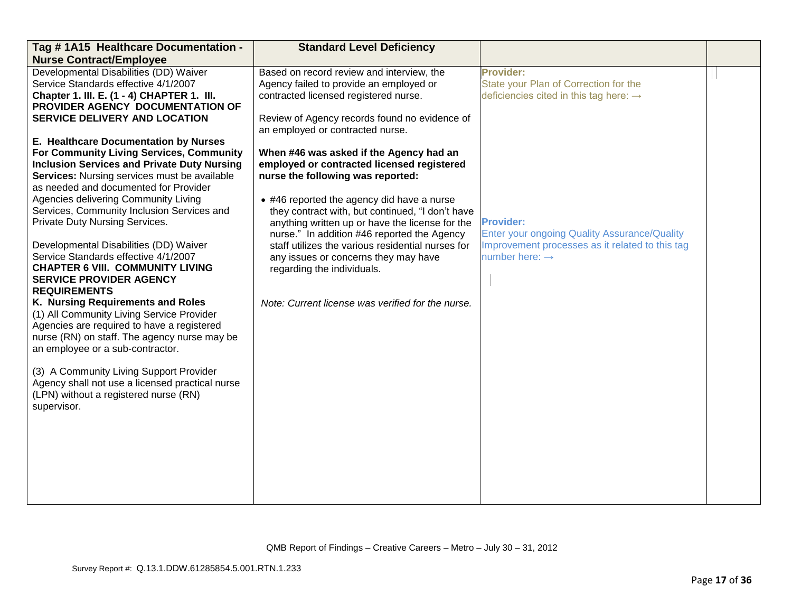| Tag #1A15 Healthcare Documentation -               | <b>Standard Level Deficiency</b>                  |                                                     |  |
|----------------------------------------------------|---------------------------------------------------|-----------------------------------------------------|--|
| <b>Nurse Contract/Employee</b>                     |                                                   |                                                     |  |
| Developmental Disabilities (DD) Waiver             | Based on record review and interview, the         | <b>Provider:</b>                                    |  |
| Service Standards effective 4/1/2007               | Agency failed to provide an employed or           | State your Plan of Correction for the               |  |
| Chapter 1. III. E. (1 - 4) CHAPTER 1. III.         | contracted licensed registered nurse.             | deficiencies cited in this tag here: $\rightarrow$  |  |
| PROVIDER AGENCY DOCUMENTATION OF                   |                                                   |                                                     |  |
| <b>SERVICE DELIVERY AND LOCATION</b>               | Review of Agency records found no evidence of     |                                                     |  |
|                                                    | an employed or contracted nurse.                  |                                                     |  |
| E. Healthcare Documentation by Nurses              |                                                   |                                                     |  |
| For Community Living Services, Community           | When #46 was asked if the Agency had an           |                                                     |  |
| <b>Inclusion Services and Private Duty Nursing</b> | employed or contracted licensed registered        |                                                     |  |
| Services: Nursing services must be available       | nurse the following was reported:                 |                                                     |  |
| as needed and documented for Provider              |                                                   |                                                     |  |
| Agencies delivering Community Living               | • #46 reported the agency did have a nurse        |                                                     |  |
| Services, Community Inclusion Services and         | they contract with, but continued, "I don't have  |                                                     |  |
| Private Duty Nursing Services.                     | anything written up or have the license for the   | <b>Provider:</b>                                    |  |
|                                                    | nurse." In addition #46 reported the Agency       | <b>Enter your ongoing Quality Assurance/Quality</b> |  |
| Developmental Disabilities (DD) Waiver             | staff utilizes the various residential nurses for | Improvement processes as it related to this tag     |  |
| Service Standards effective 4/1/2007               | any issues or concerns they may have              | number here: $\rightarrow$                          |  |
| <b>CHAPTER 6 VIII. COMMUNITY LIVING</b>            | regarding the individuals.                        |                                                     |  |
| <b>SERVICE PROVIDER AGENCY</b>                     |                                                   |                                                     |  |
| <b>REQUIREMENTS</b>                                |                                                   |                                                     |  |
| K. Nursing Requirements and Roles                  | Note: Current license was verified for the nurse. |                                                     |  |
| (1) All Community Living Service Provider          |                                                   |                                                     |  |
| Agencies are required to have a registered         |                                                   |                                                     |  |
| nurse (RN) on staff. The agency nurse may be       |                                                   |                                                     |  |
| an employee or a sub-contractor.                   |                                                   |                                                     |  |
|                                                    |                                                   |                                                     |  |
| (3) A Community Living Support Provider            |                                                   |                                                     |  |
| Agency shall not use a licensed practical nurse    |                                                   |                                                     |  |
| (LPN) without a registered nurse (RN)              |                                                   |                                                     |  |
| supervisor.                                        |                                                   |                                                     |  |
|                                                    |                                                   |                                                     |  |
|                                                    |                                                   |                                                     |  |
|                                                    |                                                   |                                                     |  |
|                                                    |                                                   |                                                     |  |
|                                                    |                                                   |                                                     |  |
|                                                    |                                                   |                                                     |  |
|                                                    |                                                   |                                                     |  |
|                                                    |                                                   |                                                     |  |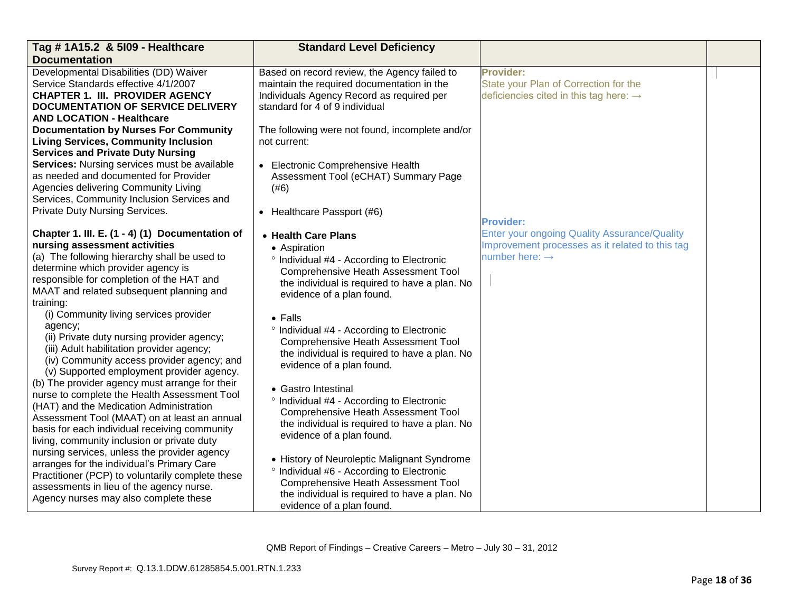| Tag # 1A15.2 & 5109 - Healthcare                    | <b>Standard Level Deficiency</b>                |                                                     |  |
|-----------------------------------------------------|-------------------------------------------------|-----------------------------------------------------|--|
| <b>Documentation</b>                                |                                                 |                                                     |  |
| Developmental Disabilities (DD) Waiver              | Based on record review, the Agency failed to    | <b>Provider:</b>                                    |  |
| Service Standards effective 4/1/2007                | maintain the required documentation in the      | State your Plan of Correction for the               |  |
| <b>CHAPTER 1. III. PROVIDER AGENCY</b>              | Individuals Agency Record as required per       | deficiencies cited in this tag here: $\rightarrow$  |  |
| <b>DOCUMENTATION OF SERVICE DELIVERY</b>            | standard for 4 of 9 individual                  |                                                     |  |
| <b>AND LOCATION - Healthcare</b>                    |                                                 |                                                     |  |
| <b>Documentation by Nurses For Community</b>        | The following were not found, incomplete and/or |                                                     |  |
| <b>Living Services, Community Inclusion</b>         | not current:                                    |                                                     |  |
| <b>Services and Private Duty Nursing</b>            |                                                 |                                                     |  |
| Services: Nursing services must be available        | <b>Electronic Comprehensive Health</b>          |                                                     |  |
| as needed and documented for Provider               | Assessment Tool (eCHAT) Summary Page            |                                                     |  |
| Agencies delivering Community Living                | (#6)                                            |                                                     |  |
| Services, Community Inclusion Services and          |                                                 |                                                     |  |
| Private Duty Nursing Services.                      | • Healthcare Passport (#6)                      |                                                     |  |
|                                                     |                                                 | <b>Provider:</b>                                    |  |
| Chapter 1. III. E. (1 - 4) (1) Documentation of     | • Health Care Plans                             | <b>Enter your ongoing Quality Assurance/Quality</b> |  |
| nursing assessment activities                       | • Aspiration                                    | Improvement processes as it related to this tag     |  |
| (a) The following hierarchy shall be used to        | ° Individual #4 - According to Electronic       | number here: $\rightarrow$                          |  |
| determine which provider agency is                  | <b>Comprehensive Heath Assessment Tool</b>      |                                                     |  |
| responsible for completion of the HAT and           | the individual is required to have a plan. No   |                                                     |  |
| MAAT and related subsequent planning and            | evidence of a plan found.                       |                                                     |  |
| training:<br>(i) Community living services provider |                                                 |                                                     |  |
| agency;                                             | $\bullet$ Falls                                 |                                                     |  |
| (ii) Private duty nursing provider agency;          | ° Individual #4 - According to Electronic       |                                                     |  |
| (iii) Adult habilitation provider agency;           | <b>Comprehensive Heath Assessment Tool</b>      |                                                     |  |
| (iv) Community access provider agency; and          | the individual is required to have a plan. No   |                                                     |  |
| (v) Supported employment provider agency.           | evidence of a plan found.                       |                                                     |  |
| (b) The provider agency must arrange for their      |                                                 |                                                     |  |
| nurse to complete the Health Assessment Tool        | • Gastro Intestinal                             |                                                     |  |
| (HAT) and the Medication Administration             | ° Individual #4 - According to Electronic       |                                                     |  |
| Assessment Tool (MAAT) on at least an annual        | <b>Comprehensive Heath Assessment Tool</b>      |                                                     |  |
| basis for each individual receiving community       | the individual is required to have a plan. No   |                                                     |  |
| living, community inclusion or private duty         | evidence of a plan found.                       |                                                     |  |
| nursing services, unless the provider agency        |                                                 |                                                     |  |
| arranges for the individual's Primary Care          | • History of Neuroleptic Malignant Syndrome     |                                                     |  |
| Practitioner (PCP) to voluntarily complete these    | ° Individual #6 - According to Electronic       |                                                     |  |
| assessments in lieu of the agency nurse.            | <b>Comprehensive Heath Assessment Tool</b>      |                                                     |  |
| Agency nurses may also complete these               | the individual is required to have a plan. No   |                                                     |  |
|                                                     | evidence of a plan found.                       |                                                     |  |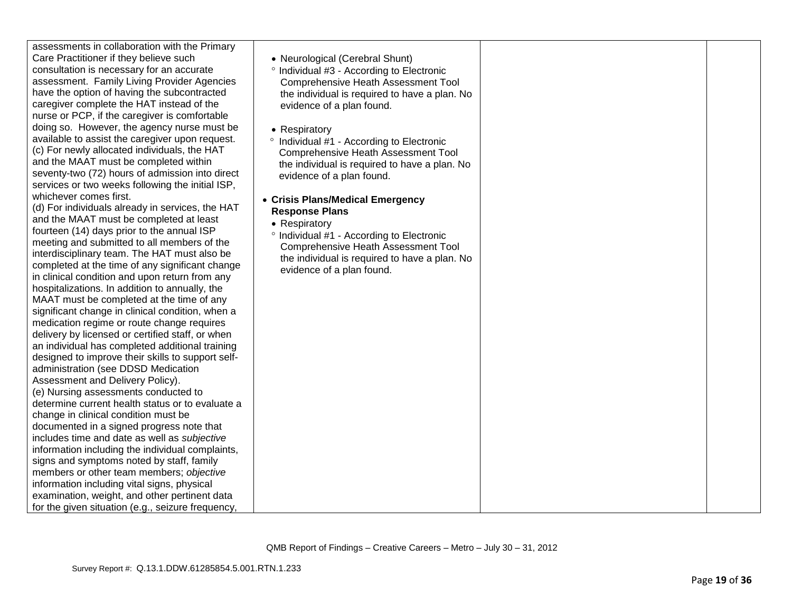| assessments in collaboration with the Primary<br>Care Practitioner if they believe such<br>• Neurological (Cerebral Shunt)<br>consultation is necessary for an accurate<br>° Individual #3 - According to Electronic<br>assessment. Family Living Provider Agencies<br><b>Comprehensive Heath Assessment Tool</b><br>have the option of having the subcontracted<br>the individual is required to have a plan. No<br>caregiver complete the HAT instead of the<br>evidence of a plan found.<br>nurse or PCP, if the caregiver is comfortable<br>doing so. However, the agency nurse must be<br>• Respiratory<br>available to assist the caregiver upon request.<br>° Individual #1 - According to Electronic<br>(c) For newly allocated individuals, the HAT<br><b>Comprehensive Heath Assessment Tool</b><br>and the MAAT must be completed within<br>the individual is required to have a plan. No<br>seventy-two (72) hours of admission into direct<br>evidence of a plan found.<br>services or two weeks following the initial ISP,<br>whichever comes first.<br>• Crisis Plans/Medical Emergency<br>(d) For individuals already in services, the HAT<br><b>Response Plans</b><br>and the MAAT must be completed at least<br>• Respiratory<br>fourteen (14) days prior to the annual ISP<br>° Individual #1 - According to Electronic<br>meeting and submitted to all members of the<br><b>Comprehensive Heath Assessment Tool</b><br>interdisciplinary team. The HAT must also be<br>the individual is required to have a plan. No<br>completed at the time of any significant change<br>evidence of a plan found.<br>in clinical condition and upon return from any<br>hospitalizations. In addition to annually, the<br>MAAT must be completed at the time of any<br>significant change in clinical condition, when a<br>medication regime or route change requires<br>delivery by licensed or certified staff, or when<br>an individual has completed additional training<br>designed to improve their skills to support self-<br>administration (see DDSD Medication<br>Assessment and Delivery Policy).<br>(e) Nursing assessments conducted to<br>determine current health status or to evaluate a<br>change in clinical condition must be<br>documented in a signed progress note that<br>includes time and date as well as subjective<br>information including the individual complaints,<br>signs and symptoms noted by staff, family<br>members or other team members; objective<br>information including vital signs, physical<br>examination, weight, and other pertinent data<br>for the given situation (e.g., seizure frequency, |  |
|-------------------------------------------------------------------------------------------------------------------------------------------------------------------------------------------------------------------------------------------------------------------------------------------------------------------------------------------------------------------------------------------------------------------------------------------------------------------------------------------------------------------------------------------------------------------------------------------------------------------------------------------------------------------------------------------------------------------------------------------------------------------------------------------------------------------------------------------------------------------------------------------------------------------------------------------------------------------------------------------------------------------------------------------------------------------------------------------------------------------------------------------------------------------------------------------------------------------------------------------------------------------------------------------------------------------------------------------------------------------------------------------------------------------------------------------------------------------------------------------------------------------------------------------------------------------------------------------------------------------------------------------------------------------------------------------------------------------------------------------------------------------------------------------------------------------------------------------------------------------------------------------------------------------------------------------------------------------------------------------------------------------------------------------------------------------------------------------------------------------------------------------------------------------------------------------------------------------------------------------------------------------------------------------------------------------------------------------------------------------------------------------------------------------------------------------------------------------------------------------------------------------------------------------------------------------------------------------------------------------------------------------------------|--|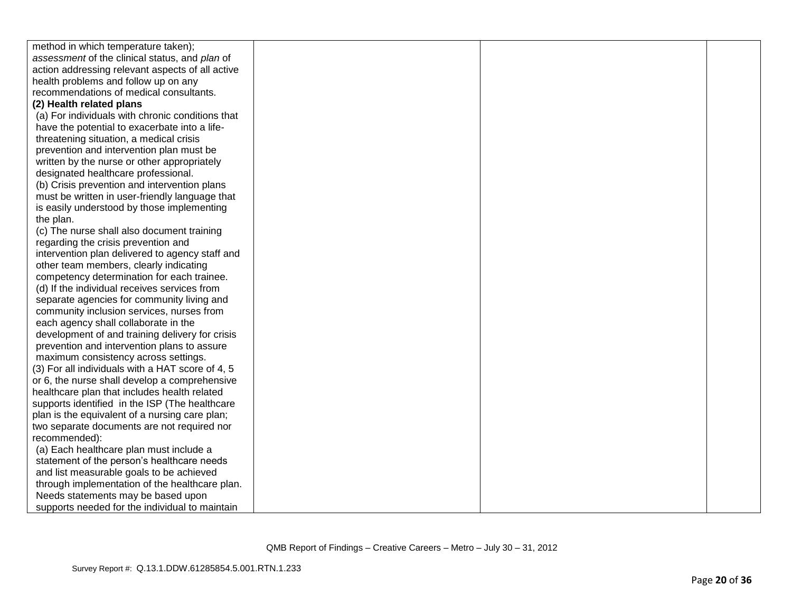| method in which temperature taken);              |  |  |
|--------------------------------------------------|--|--|
| assessment of the clinical status, and plan of   |  |  |
| action addressing relevant aspects of all active |  |  |
| health problems and follow up on any             |  |  |
| recommendations of medical consultants.          |  |  |
| (2) Health related plans                         |  |  |
| (a) For individuals with chronic conditions that |  |  |
| have the potential to exacerbate into a life-    |  |  |
| threatening situation, a medical crisis          |  |  |
| prevention and intervention plan must be         |  |  |
| written by the nurse or other appropriately      |  |  |
| designated healthcare professional.              |  |  |
| (b) Crisis prevention and intervention plans     |  |  |
| must be written in user-friendly language that   |  |  |
| is easily understood by those implementing       |  |  |
| the plan.                                        |  |  |
| (c) The nurse shall also document training       |  |  |
| regarding the crisis prevention and              |  |  |
| intervention plan delivered to agency staff and  |  |  |
| other team members, clearly indicating           |  |  |
| competency determination for each trainee.       |  |  |
| (d) If the individual receives services from     |  |  |
| separate agencies for community living and       |  |  |
| community inclusion services, nurses from        |  |  |
| each agency shall collaborate in the             |  |  |
| development of and training delivery for crisis  |  |  |
| prevention and intervention plans to assure      |  |  |
| maximum consistency across settings.             |  |  |
| (3) For all individuals with a HAT score of 4, 5 |  |  |
| or 6, the nurse shall develop a comprehensive    |  |  |
| healthcare plan that includes health related     |  |  |
| supports identified in the ISP (The healthcare   |  |  |
| plan is the equivalent of a nursing care plan;   |  |  |
| two separate documents are not required nor      |  |  |
| recommended):                                    |  |  |
| (a) Each healthcare plan must include a          |  |  |
| statement of the person's healthcare needs       |  |  |
| and list measurable goals to be achieved         |  |  |
| through implementation of the healthcare plan.   |  |  |
| Needs statements may be based upon               |  |  |
| supports needed for the individual to maintain   |  |  |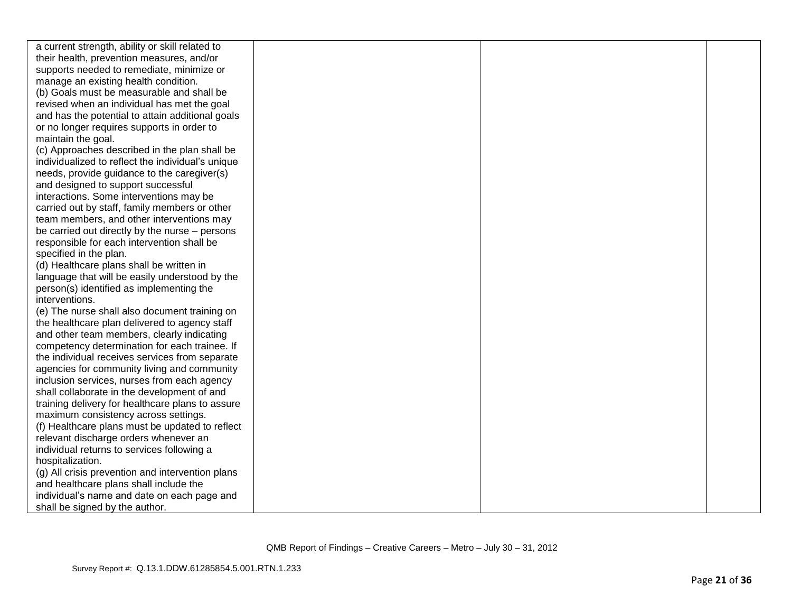| a current strength, ability or skill related to   |  |  |
|---------------------------------------------------|--|--|
| their health, prevention measures, and/or         |  |  |
| supports needed to remediate, minimize or         |  |  |
| manage an existing health condition.              |  |  |
| (b) Goals must be measurable and shall be         |  |  |
| revised when an individual has met the goal       |  |  |
| and has the potential to attain additional goals  |  |  |
| or no longer requires supports in order to        |  |  |
| maintain the goal.                                |  |  |
| (c) Approaches described in the plan shall be     |  |  |
| individualized to reflect the individual's unique |  |  |
| needs, provide guidance to the caregiver(s)       |  |  |
| and designed to support successful                |  |  |
| interactions. Some interventions may be           |  |  |
| carried out by staff, family members or other     |  |  |
| team members, and other interventions may         |  |  |
| be carried out directly by the nurse – persons    |  |  |
| responsible for each intervention shall be        |  |  |
| specified in the plan.                            |  |  |
| (d) Healthcare plans shall be written in          |  |  |
| language that will be easily understood by the    |  |  |
| person(s) identified as implementing the          |  |  |
| interventions.                                    |  |  |
| (e) The nurse shall also document training on     |  |  |
| the healthcare plan delivered to agency staff     |  |  |
| and other team members, clearly indicating        |  |  |
| competency determination for each trainee. If     |  |  |
| the individual receives services from separate    |  |  |
| agencies for community living and community       |  |  |
| inclusion services, nurses from each agency       |  |  |
| shall collaborate in the development of and       |  |  |
| training delivery for healthcare plans to assure  |  |  |
| maximum consistency across settings.              |  |  |
| (f) Healthcare plans must be updated to reflect   |  |  |
| relevant discharge orders whenever an             |  |  |
| individual returns to services following a        |  |  |
| hospitalization.                                  |  |  |
| (g) All crisis prevention and intervention plans  |  |  |
| and healthcare plans shall include the            |  |  |
| individual's name and date on each page and       |  |  |
| shall be signed by the author.                    |  |  |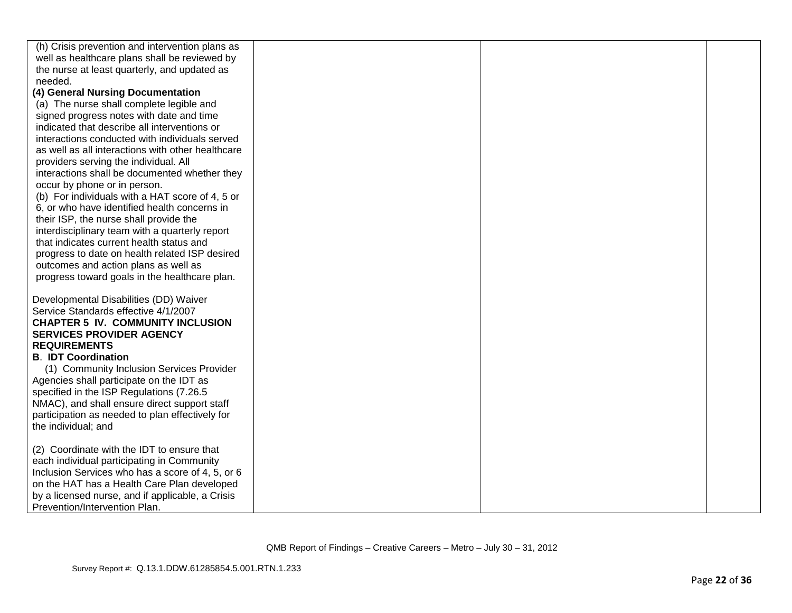| (h) Crisis prevention and intervention plans as   |  |  |
|---------------------------------------------------|--|--|
| well as healthcare plans shall be reviewed by     |  |  |
| the nurse at least quarterly, and updated as      |  |  |
| needed.                                           |  |  |
| (4) General Nursing Documentation                 |  |  |
| (a) The nurse shall complete legible and          |  |  |
| signed progress notes with date and time          |  |  |
| indicated that describe all interventions or      |  |  |
| interactions conducted with individuals served    |  |  |
| as well as all interactions with other healthcare |  |  |
| providers serving the individual. All             |  |  |
| interactions shall be documented whether they     |  |  |
| occur by phone or in person.                      |  |  |
| (b) For individuals with a HAT score of 4, 5 or   |  |  |
| 6, or who have identified health concerns in      |  |  |
| their ISP, the nurse shall provide the            |  |  |
| interdisciplinary team with a quarterly report    |  |  |
| that indicates current health status and          |  |  |
| progress to date on health related ISP desired    |  |  |
| outcomes and action plans as well as              |  |  |
| progress toward goals in the healthcare plan.     |  |  |
|                                                   |  |  |
| Developmental Disabilities (DD) Waiver            |  |  |
| Service Standards effective 4/1/2007              |  |  |
| <b>CHAPTER 5 IV. COMMUNITY INCLUSION</b>          |  |  |
| <b>SERVICES PROVIDER AGENCY</b>                   |  |  |
| <b>REQUIREMENTS</b>                               |  |  |
| <b>B. IDT Coordination</b>                        |  |  |
| (1) Community Inclusion Services Provider         |  |  |
| Agencies shall participate on the IDT as          |  |  |
| specified in the ISP Regulations (7.26.5          |  |  |
| NMAC), and shall ensure direct support staff      |  |  |
| participation as needed to plan effectively for   |  |  |
| the individual; and                               |  |  |
|                                                   |  |  |
| (2) Coordinate with the IDT to ensure that        |  |  |
| each individual participating in Community        |  |  |
| Inclusion Services who has a score of 4, 5, or 6  |  |  |
| on the HAT has a Health Care Plan developed       |  |  |
| by a licensed nurse, and if applicable, a Crisis  |  |  |
| Prevention/Intervention Plan.                     |  |  |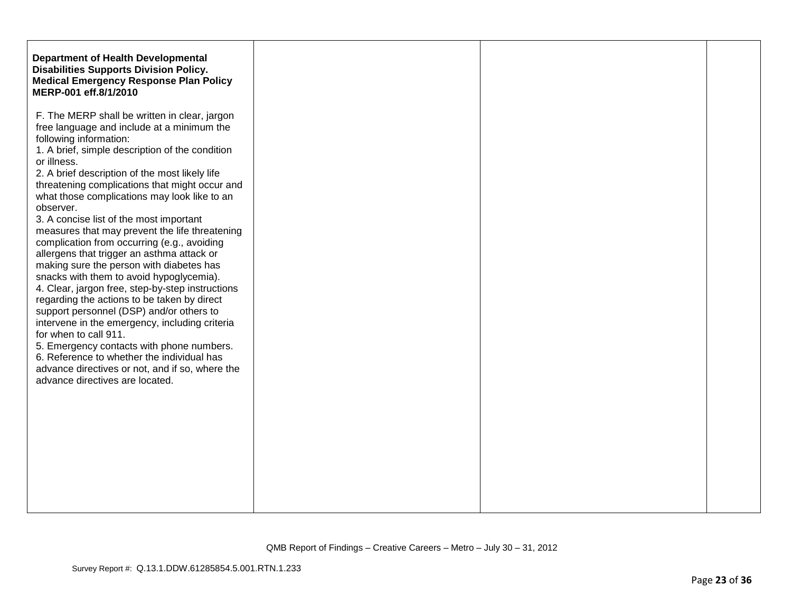| F. The MERP shall be written in clear, jargon                                                                                                                                                                                                                                                                                                                                                                                                                                                                                                                                                                                                                                                                                                                                                                                                                                                                                                                            |
|--------------------------------------------------------------------------------------------------------------------------------------------------------------------------------------------------------------------------------------------------------------------------------------------------------------------------------------------------------------------------------------------------------------------------------------------------------------------------------------------------------------------------------------------------------------------------------------------------------------------------------------------------------------------------------------------------------------------------------------------------------------------------------------------------------------------------------------------------------------------------------------------------------------------------------------------------------------------------|
| free language and include at a minimum the<br>following information:<br>1. A brief, simple description of the condition<br>2. A brief description of the most likely life<br>threatening complications that might occur and<br>what those complications may look like to an<br>3. A concise list of the most important<br>measures that may prevent the life threatening<br>complication from occurring (e.g., avoiding<br>allergens that trigger an asthma attack or<br>making sure the person with diabetes has<br>snacks with them to avoid hypoglycemia).<br>4. Clear, jargon free, step-by-step instructions<br>regarding the actions to be taken by direct<br>support personnel (DSP) and/or others to<br>intervene in the emergency, including criteria<br>for when to call 911.<br>5. Emergency contacts with phone numbers.<br>6. Reference to whether the individual has<br>advance directives or not, and if so, where the<br>advance directives are located. |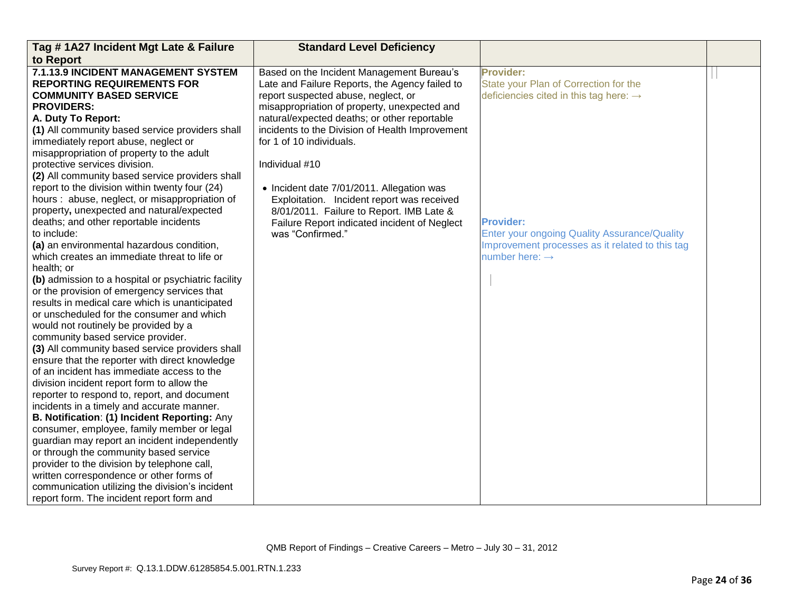| Tag #1A27 Incident Mgt Late & Failure                                                                                                                                                                                                                                                                                                                                                                                                                                                                                                                                                                                                                                                                                                                                                                                                                                                                                                                                           | <b>Standard Level Deficiency</b>                |                                                     |  |
|---------------------------------------------------------------------------------------------------------------------------------------------------------------------------------------------------------------------------------------------------------------------------------------------------------------------------------------------------------------------------------------------------------------------------------------------------------------------------------------------------------------------------------------------------------------------------------------------------------------------------------------------------------------------------------------------------------------------------------------------------------------------------------------------------------------------------------------------------------------------------------------------------------------------------------------------------------------------------------|-------------------------------------------------|-----------------------------------------------------|--|
| to Report                                                                                                                                                                                                                                                                                                                                                                                                                                                                                                                                                                                                                                                                                                                                                                                                                                                                                                                                                                       |                                                 |                                                     |  |
| 7.1.13.9 INCIDENT MANAGEMENT SYSTEM                                                                                                                                                                                                                                                                                                                                                                                                                                                                                                                                                                                                                                                                                                                                                                                                                                                                                                                                             | Based on the Incident Management Bureau's       | <b>Provider:</b>                                    |  |
| <b>REPORTING REQUIREMENTS FOR</b>                                                                                                                                                                                                                                                                                                                                                                                                                                                                                                                                                                                                                                                                                                                                                                                                                                                                                                                                               | Late and Failure Reports, the Agency failed to  | State your Plan of Correction for the               |  |
| <b>COMMUNITY BASED SERVICE</b>                                                                                                                                                                                                                                                                                                                                                                                                                                                                                                                                                                                                                                                                                                                                                                                                                                                                                                                                                  | report suspected abuse, neglect, or             | deficiencies cited in this tag here: $\rightarrow$  |  |
| <b>PROVIDERS:</b>                                                                                                                                                                                                                                                                                                                                                                                                                                                                                                                                                                                                                                                                                                                                                                                                                                                                                                                                                               | misappropriation of property, unexpected and    |                                                     |  |
| A. Duty To Report:                                                                                                                                                                                                                                                                                                                                                                                                                                                                                                                                                                                                                                                                                                                                                                                                                                                                                                                                                              | natural/expected deaths; or other reportable    |                                                     |  |
| (1) All community based service providers shall                                                                                                                                                                                                                                                                                                                                                                                                                                                                                                                                                                                                                                                                                                                                                                                                                                                                                                                                 | incidents to the Division of Health Improvement |                                                     |  |
| immediately report abuse, neglect or                                                                                                                                                                                                                                                                                                                                                                                                                                                                                                                                                                                                                                                                                                                                                                                                                                                                                                                                            | for 1 of 10 individuals.                        |                                                     |  |
| misappropriation of property to the adult                                                                                                                                                                                                                                                                                                                                                                                                                                                                                                                                                                                                                                                                                                                                                                                                                                                                                                                                       |                                                 |                                                     |  |
| protective services division.                                                                                                                                                                                                                                                                                                                                                                                                                                                                                                                                                                                                                                                                                                                                                                                                                                                                                                                                                   | Individual #10                                  |                                                     |  |
| (2) All community based service providers shall                                                                                                                                                                                                                                                                                                                                                                                                                                                                                                                                                                                                                                                                                                                                                                                                                                                                                                                                 |                                                 |                                                     |  |
| report to the division within twenty four (24)                                                                                                                                                                                                                                                                                                                                                                                                                                                                                                                                                                                                                                                                                                                                                                                                                                                                                                                                  | • Incident date 7/01/2011. Allegation was       |                                                     |  |
| hours: abuse, neglect, or misappropriation of                                                                                                                                                                                                                                                                                                                                                                                                                                                                                                                                                                                                                                                                                                                                                                                                                                                                                                                                   | Exploitation. Incident report was received      |                                                     |  |
| property, unexpected and natural/expected                                                                                                                                                                                                                                                                                                                                                                                                                                                                                                                                                                                                                                                                                                                                                                                                                                                                                                                                       | 8/01/2011. Failure to Report. IMB Late &        |                                                     |  |
| deaths; and other reportable incidents                                                                                                                                                                                                                                                                                                                                                                                                                                                                                                                                                                                                                                                                                                                                                                                                                                                                                                                                          | Failure Report indicated incident of Neglect    | <b>Provider:</b>                                    |  |
| to include:                                                                                                                                                                                                                                                                                                                                                                                                                                                                                                                                                                                                                                                                                                                                                                                                                                                                                                                                                                     | was "Confirmed."                                | <b>Enter your ongoing Quality Assurance/Quality</b> |  |
| (a) an environmental hazardous condition,                                                                                                                                                                                                                                                                                                                                                                                                                                                                                                                                                                                                                                                                                                                                                                                                                                                                                                                                       |                                                 | Improvement processes as it related to this tag     |  |
| which creates an immediate threat to life or                                                                                                                                                                                                                                                                                                                                                                                                                                                                                                                                                                                                                                                                                                                                                                                                                                                                                                                                    |                                                 | number here: $\rightarrow$                          |  |
|                                                                                                                                                                                                                                                                                                                                                                                                                                                                                                                                                                                                                                                                                                                                                                                                                                                                                                                                                                                 |                                                 |                                                     |  |
|                                                                                                                                                                                                                                                                                                                                                                                                                                                                                                                                                                                                                                                                                                                                                                                                                                                                                                                                                                                 |                                                 |                                                     |  |
|                                                                                                                                                                                                                                                                                                                                                                                                                                                                                                                                                                                                                                                                                                                                                                                                                                                                                                                                                                                 |                                                 |                                                     |  |
|                                                                                                                                                                                                                                                                                                                                                                                                                                                                                                                                                                                                                                                                                                                                                                                                                                                                                                                                                                                 |                                                 |                                                     |  |
|                                                                                                                                                                                                                                                                                                                                                                                                                                                                                                                                                                                                                                                                                                                                                                                                                                                                                                                                                                                 |                                                 |                                                     |  |
|                                                                                                                                                                                                                                                                                                                                                                                                                                                                                                                                                                                                                                                                                                                                                                                                                                                                                                                                                                                 |                                                 |                                                     |  |
|                                                                                                                                                                                                                                                                                                                                                                                                                                                                                                                                                                                                                                                                                                                                                                                                                                                                                                                                                                                 |                                                 |                                                     |  |
|                                                                                                                                                                                                                                                                                                                                                                                                                                                                                                                                                                                                                                                                                                                                                                                                                                                                                                                                                                                 |                                                 |                                                     |  |
|                                                                                                                                                                                                                                                                                                                                                                                                                                                                                                                                                                                                                                                                                                                                                                                                                                                                                                                                                                                 |                                                 |                                                     |  |
|                                                                                                                                                                                                                                                                                                                                                                                                                                                                                                                                                                                                                                                                                                                                                                                                                                                                                                                                                                                 |                                                 |                                                     |  |
|                                                                                                                                                                                                                                                                                                                                                                                                                                                                                                                                                                                                                                                                                                                                                                                                                                                                                                                                                                                 |                                                 |                                                     |  |
|                                                                                                                                                                                                                                                                                                                                                                                                                                                                                                                                                                                                                                                                                                                                                                                                                                                                                                                                                                                 |                                                 |                                                     |  |
|                                                                                                                                                                                                                                                                                                                                                                                                                                                                                                                                                                                                                                                                                                                                                                                                                                                                                                                                                                                 |                                                 |                                                     |  |
|                                                                                                                                                                                                                                                                                                                                                                                                                                                                                                                                                                                                                                                                                                                                                                                                                                                                                                                                                                                 |                                                 |                                                     |  |
|                                                                                                                                                                                                                                                                                                                                                                                                                                                                                                                                                                                                                                                                                                                                                                                                                                                                                                                                                                                 |                                                 |                                                     |  |
|                                                                                                                                                                                                                                                                                                                                                                                                                                                                                                                                                                                                                                                                                                                                                                                                                                                                                                                                                                                 |                                                 |                                                     |  |
|                                                                                                                                                                                                                                                                                                                                                                                                                                                                                                                                                                                                                                                                                                                                                                                                                                                                                                                                                                                 |                                                 |                                                     |  |
|                                                                                                                                                                                                                                                                                                                                                                                                                                                                                                                                                                                                                                                                                                                                                                                                                                                                                                                                                                                 |                                                 |                                                     |  |
|                                                                                                                                                                                                                                                                                                                                                                                                                                                                                                                                                                                                                                                                                                                                                                                                                                                                                                                                                                                 |                                                 |                                                     |  |
|                                                                                                                                                                                                                                                                                                                                                                                                                                                                                                                                                                                                                                                                                                                                                                                                                                                                                                                                                                                 |                                                 |                                                     |  |
| health; or<br>(b) admission to a hospital or psychiatric facility<br>or the provision of emergency services that<br>results in medical care which is unanticipated<br>or unscheduled for the consumer and which<br>would not routinely be provided by a<br>community based service provider.<br>(3) All community based service providers shall<br>ensure that the reporter with direct knowledge<br>of an incident has immediate access to the<br>division incident report form to allow the<br>reporter to respond to, report, and document<br>incidents in a timely and accurate manner.<br>B. Notification: (1) Incident Reporting: Any<br>consumer, employee, family member or legal<br>guardian may report an incident independently<br>or through the community based service<br>provider to the division by telephone call,<br>written correspondence or other forms of<br>communication utilizing the division's incident<br>report form. The incident report form and |                                                 |                                                     |  |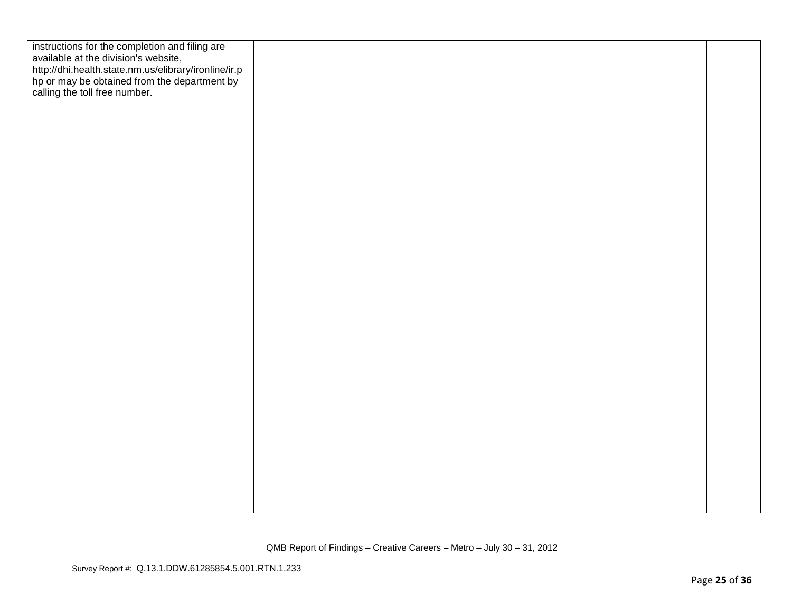| instructions for the completion and filing are<br>available at the division's website,<br>http://dhi.health.state.nm.us/elibrary/ironline/ir.p<br>hp or may be obtained from the department by<br>calling the toll free number. |  |  |
|---------------------------------------------------------------------------------------------------------------------------------------------------------------------------------------------------------------------------------|--|--|
|                                                                                                                                                                                                                                 |  |  |
|                                                                                                                                                                                                                                 |  |  |
|                                                                                                                                                                                                                                 |  |  |
|                                                                                                                                                                                                                                 |  |  |
|                                                                                                                                                                                                                                 |  |  |
|                                                                                                                                                                                                                                 |  |  |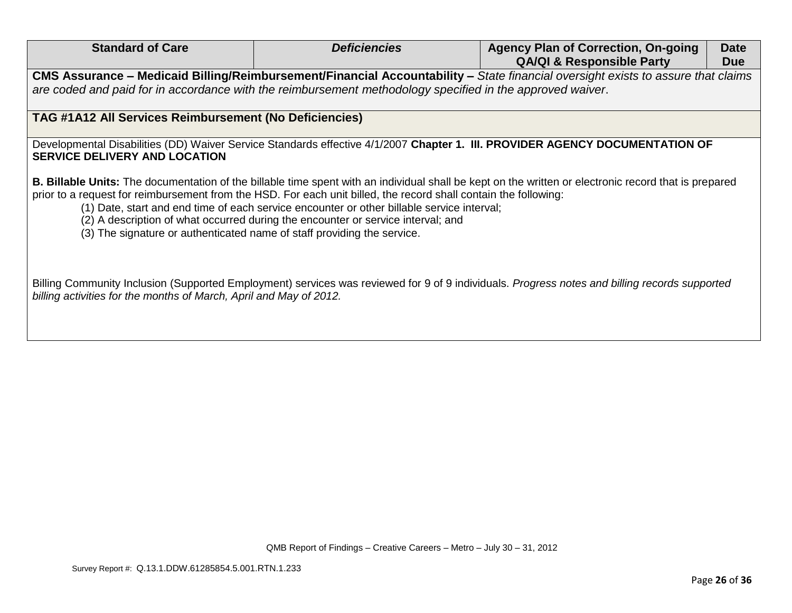| <b>Standard of Care</b>                                                                                                                                                                     | <b>Deficiencies</b>                                                                                                                                                            | <b>Agency Plan of Correction, On-going</b><br><b>QA/QI &amp; Responsible Party</b>                                                                           | <b>Date</b><br><b>Due</b> |
|---------------------------------------------------------------------------------------------------------------------------------------------------------------------------------------------|--------------------------------------------------------------------------------------------------------------------------------------------------------------------------------|--------------------------------------------------------------------------------------------------------------------------------------------------------------|---------------------------|
| are coded and paid for in accordance with the reimbursement methodology specified in the approved waiver.                                                                                   |                                                                                                                                                                                | CMS Assurance – Medicaid Billing/Reimbursement/Financial Accountability – State financial oversight exists to assure that claims                             |                           |
| TAG #1A12 All Services Reimbursement (No Deficiencies)                                                                                                                                      |                                                                                                                                                                                |                                                                                                                                                              |                           |
| <b>SERVICE DELIVERY AND LOCATION</b>                                                                                                                                                        |                                                                                                                                                                                | Developmental Disabilities (DD) Waiver Service Standards effective 4/1/2007 Chapter 1. III. PROVIDER AGENCY DOCUMENTATION OF                                 |                           |
| prior to a request for reimbursement from the HSD. For each unit billed, the record shall contain the following:<br>(3) The signature or authenticated name of staff providing the service. | (1) Date, start and end time of each service encounter or other billable service interval;<br>(2) A description of what occurred during the encounter or service interval; and | <b>B. Billable Units:</b> The documentation of the billable time spent with an individual shall be kept on the written or electronic record that is prepared |                           |
| billing activities for the months of March, April and May of 2012.                                                                                                                          |                                                                                                                                                                                | Billing Community Inclusion (Supported Employment) services was reviewed for 9 of 9 individuals. Progress notes and billing records supported                |                           |